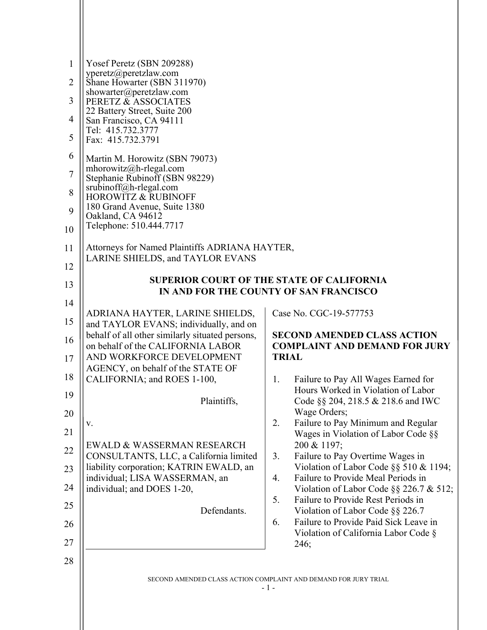| $\mathbf{1}$<br>2<br>3<br>4<br>5<br>6<br>$\overline{7}$<br>8<br>9<br>10<br>11<br>12<br>13 | Yosef Peretz (SBN 209288)<br>yperetz@peretzlaw.com<br>Shane Howarter (SBN 311970)<br>showarter@peretzlaw.com<br>PERETZ & ASSOCIATES<br>22 Battery Street, Suite 200<br>San Francisco, CA 94111<br>Tel: 415.732.3777<br>Fax: 415.732.3791<br>Martin M. Horowitz (SBN 79073)<br>mhorowitz@h-rlegal.com<br>Stephanie Rubinoff (SBN 98229)<br>srubinoff@h-rlegal.com<br><b>HOROWITZ &amp; RUBINOFF</b><br>180 Grand Avenue, Suite 1380<br>Oakland, CA 94612<br>Telephone: 510.444.7717<br>Attorneys for Named Plaintiffs ADRIANA HAYTER,<br>LARINE SHIELDS, and TAYLOR EVANS | <b>SUPERIOR COURT OF THE STATE OF CALIFORNIA</b><br>IN AND FOR THE COUNTY OF SAN FRANCISCO |
|-------------------------------------------------------------------------------------------|--------------------------------------------------------------------------------------------------------------------------------------------------------------------------------------------------------------------------------------------------------------------------------------------------------------------------------------------------------------------------------------------------------------------------------------------------------------------------------------------------------------------------------------------------------------------------|--------------------------------------------------------------------------------------------|
|                                                                                           |                                                                                                                                                                                                                                                                                                                                                                                                                                                                                                                                                                          |                                                                                            |
|                                                                                           |                                                                                                                                                                                                                                                                                                                                                                                                                                                                                                                                                                          |                                                                                            |
|                                                                                           |                                                                                                                                                                                                                                                                                                                                                                                                                                                                                                                                                                          |                                                                                            |
|                                                                                           |                                                                                                                                                                                                                                                                                                                                                                                                                                                                                                                                                                          |                                                                                            |
|                                                                                           |                                                                                                                                                                                                                                                                                                                                                                                                                                                                                                                                                                          |                                                                                            |
|                                                                                           |                                                                                                                                                                                                                                                                                                                                                                                                                                                                                                                                                                          |                                                                                            |
|                                                                                           |                                                                                                                                                                                                                                                                                                                                                                                                                                                                                                                                                                          |                                                                                            |
|                                                                                           |                                                                                                                                                                                                                                                                                                                                                                                                                                                                                                                                                                          |                                                                                            |
|                                                                                           |                                                                                                                                                                                                                                                                                                                                                                                                                                                                                                                                                                          |                                                                                            |
| 14                                                                                        |                                                                                                                                                                                                                                                                                                                                                                                                                                                                                                                                                                          |                                                                                            |
| 15                                                                                        | ADRIANA HAYTER, LARINE SHIELDS,<br>and TAYLOR EVANS; individually, and on                                                                                                                                                                                                                                                                                                                                                                                                                                                                                                | Case No. CGC-19-577753                                                                     |
| 16                                                                                        | behalf of all other similarly situated persons,<br>on behalf of the CALIFORNIA LABOR                                                                                                                                                                                                                                                                                                                                                                                                                                                                                     | <b>SECOND AMENDED CLASS ACTION</b><br><b>COMPLAINT AND DEMAND FOR JURY</b>                 |
| 17                                                                                        | AND WORKFORCE DEVELOPMENT<br>AGENCY, on behalf of the STATE OF                                                                                                                                                                                                                                                                                                                                                                                                                                                                                                           | <b>TRIAL</b>                                                                               |
| 18                                                                                        | CALIFORNIA; and ROES 1-100,                                                                                                                                                                                                                                                                                                                                                                                                                                                                                                                                              | Failure to Pay All Wages Earned for<br>1.                                                  |
| 19                                                                                        | Plaintiffs,                                                                                                                                                                                                                                                                                                                                                                                                                                                                                                                                                              | Hours Worked in Violation of Labor<br>Code §§ 204, 218.5 & 218.6 and IWC                   |
| 20                                                                                        | V.                                                                                                                                                                                                                                                                                                                                                                                                                                                                                                                                                                       | Wage Orders;<br>Failure to Pay Minimum and Regular<br>2.                                   |
| 21                                                                                        | EWALD & WASSERMAN RESEARCH                                                                                                                                                                                                                                                                                                                                                                                                                                                                                                                                               | Wages in Violation of Labor Code §§<br>200 & 1197;                                         |
| 22                                                                                        | CONSULTANTS, LLC, a California limited                                                                                                                                                                                                                                                                                                                                                                                                                                                                                                                                   | Failure to Pay Overtime Wages in<br>3.                                                     |
| 23                                                                                        | liability corporation; KATRIN EWALD, an<br>individual; LISA WASSERMAN, an                                                                                                                                                                                                                                                                                                                                                                                                                                                                                                | Violation of Labor Code §§ 510 & 1194;<br>Failure to Provide Meal Periods in<br>4.         |
| 24                                                                                        | individual; and DOES 1-20,                                                                                                                                                                                                                                                                                                                                                                                                                                                                                                                                               | Violation of Labor Code §§ 226.7 & 512;<br>5.<br>Failure to Provide Rest Periods in        |
| 25                                                                                        | Defendants.                                                                                                                                                                                                                                                                                                                                                                                                                                                                                                                                                              | Violation of Labor Code §§ 226.7<br>Failure to Provide Paid Sick Leave in<br>6.            |
| 26<br>27                                                                                  |                                                                                                                                                                                                                                                                                                                                                                                                                                                                                                                                                                          | Violation of California Labor Code §                                                       |
| 28                                                                                        |                                                                                                                                                                                                                                                                                                                                                                                                                                                                                                                                                                          | 246;                                                                                       |
|                                                                                           |                                                                                                                                                                                                                                                                                                                                                                                                                                                                                                                                                                          | SECOND AMENDED CLASS ACTION COMPLAINT AND DEMAND FOR JURY TRIAL                            |
|                                                                                           |                                                                                                                                                                                                                                                                                                                                                                                                                                                                                                                                                                          | $-1-$                                                                                      |
|                                                                                           |                                                                                                                                                                                                                                                                                                                                                                                                                                                                                                                                                                          |                                                                                            |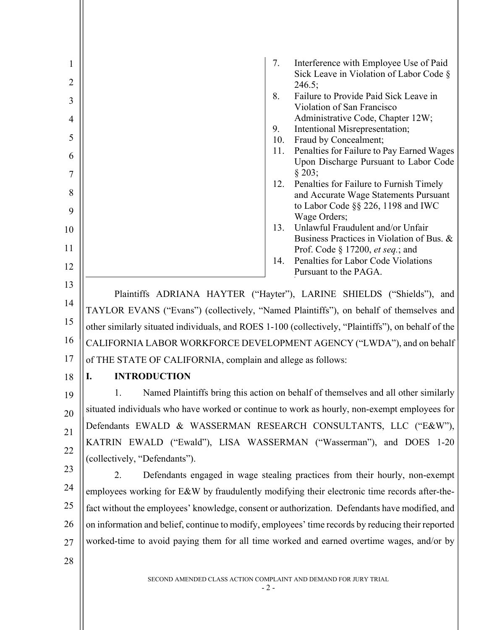| 1<br>$\overline{2}$ | Interference with Employee Use of Paid<br>7.<br>Sick Leave in Violation of Labor Code §                                                                         |
|---------------------|-----------------------------------------------------------------------------------------------------------------------------------------------------------------|
|                     | 246.5;<br>Failure to Provide Paid Sick Leave in<br>8.                                                                                                           |
| 3                   | Violation of San Francisco                                                                                                                                      |
| $\overline{4}$      | Administrative Code, Chapter 12W;<br>Intentional Misrepresentation;<br>9.                                                                                       |
| 5                   | Fraud by Concealment;<br>10.                                                                                                                                    |
| 6<br>7              | Penalties for Failure to Pay Earned Wages<br>11.<br>Upon Discharge Pursuant to Labor Code<br>§ 203;                                                             |
| 8                   | Penalties for Failure to Furnish Timely<br>12.                                                                                                                  |
|                     | and Accurate Wage Statements Pursuant<br>to Labor Code §§ 226, 1198 and IWC                                                                                     |
| 9                   | Wage Orders;                                                                                                                                                    |
| 10                  | Unlawful Fraudulent and/or Unfair<br>13.<br>Business Practices in Violation of Bus. &                                                                           |
| 11                  | Prof. Code § 17200, et seq.; and                                                                                                                                |
| 12                  | Penalties for Labor Code Violations<br>14.<br>Pursuant to the PAGA.                                                                                             |
| 13                  |                                                                                                                                                                 |
| 14                  | Plaintiffs ADRIANA HAYTER ("Hayter"), LARINE SHIELDS ("Shields"), and<br>TAYLOR EVANS ("Evans") (collectively, "Named Plaintiffs"), on behalf of themselves and |
| 15                  | other similarly situated individuals, and ROES 1-100 (collectively, "Plaintiffs"), on behalf of the                                                             |
| 16                  | CALIFORNIA LABOR WORKFORCE DEVELOPMENT AGENCY ("LWDA"), and on behalf                                                                                           |
| 17                  | of THE STATE OF CALIFORNIA, complain and allege as follows:                                                                                                     |
| 18                  | <b>INTRODUCTION</b><br>I.                                                                                                                                       |
| 19                  | Named Plaintiffs bring this action on behalf of themselves and all other similarly<br>1.                                                                        |
| 20                  | situated individuals who have worked or continue to work as hourly, non-exempt employees for                                                                    |
|                     | Defendants EWALD & WASSERMAN RESEARCH CONSULTANTS, LLC ("E&W"),                                                                                                 |
| 21                  | KATRIN EWALD ("Ewald"), LISA WASSERMAN ("Wasserman"), and DOES 1-20                                                                                             |
| 22                  | (collectively, "Defendants").                                                                                                                                   |
| 23                  | Defendants engaged in wage stealing practices from their hourly, non-exempt<br>2.                                                                               |
| 24                  | employees working for E&W by fraudulently modifying their electronic time records after-the-                                                                    |
| 25                  | fact without the employees' knowledge, consent or authorization. Defendants have modified, and                                                                  |
| 26                  | on information and belief, continue to modify, employees' time records by reducing their reported                                                               |
| 27                  | worked-time to avoid paying them for all time worked and earned overtime wages, and/or by                                                                       |
| 28                  |                                                                                                                                                                 |
|                     | SECOND AMENDED CLASS ACTION COMPLAINT AND DEMAND FOR JURY TRIAL<br>$-2-$                                                                                        |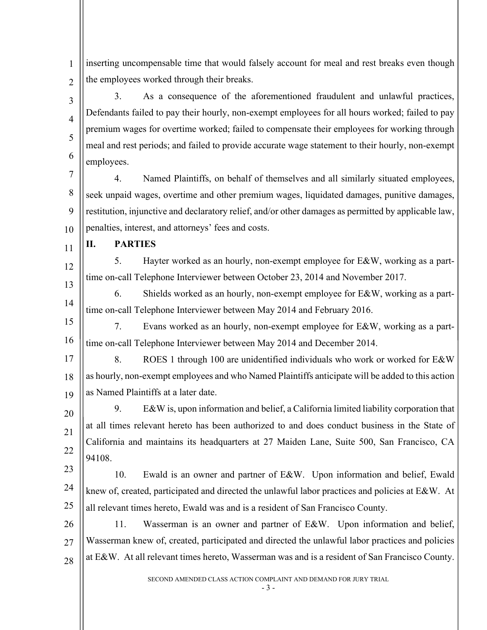1  $\overline{2}$ inserting uncompensable time that would falsely account for meal and rest breaks even though the employees worked through their breaks.

3 4 5 6 3. As a consequence of the aforementioned fraudulent and unlawful practices, Defendants failed to pay their hourly, non-exempt employees for all hours worked; failed to pay premium wages for overtime worked; failed to compensate their employees for working through meal and rest periods; and failed to provide accurate wage statement to their hourly, non-exempt employees.

7 8 9 10 4. Named Plaintiffs, on behalf of themselves and all similarly situated employees, seek unpaid wages, overtime and other premium wages, liquidated damages, punitive damages, restitution, injunctive and declaratory relief, and/or other damages as permitted by applicable law, penalties, interest, and attorneys' fees and costs.

11 **II. PARTIES** 

12 13 5. Hayter worked as an hourly, non-exempt employee for E&W, working as a parttime on-call Telephone Interviewer between October 23, 2014 and November 2017.

14 6. Shields worked as an hourly, non-exempt employee for E&W, working as a parttime on-call Telephone Interviewer between May 2014 and February 2016.

15 16 7. Evans worked as an hourly, non-exempt employee for E&W, working as a parttime on-call Telephone Interviewer between May 2014 and December 2014.

17 18 19 8. ROES 1 through 100 are unidentified individuals who work or worked for E&W as hourly, non-exempt employees and who Named Plaintiffs anticipate will be added to this action as Named Plaintiffs at a later date.

20 21 22 9. E&W is, upon information and belief, a California limited liability corporation that at all times relevant hereto has been authorized to and does conduct business in the State of California and maintains its headquarters at 27 Maiden Lane, Suite 500, San Francisco, CA 94108.

23

24 25 10. Ewald is an owner and partner of E&W. Upon information and belief, Ewald knew of, created, participated and directed the unlawful labor practices and policies at E&W. At all relevant times hereto, Ewald was and is a resident of San Francisco County.

26 27 28 11. Wasserman is an owner and partner of E&W. Upon information and belief, Wasserman knew of, created, participated and directed the unlawful labor practices and policies at E&W. At all relevant times hereto, Wasserman was and is a resident of San Francisco County.

SECOND AMENDED CLASS ACTION COMPLAINT AND DEMAND FOR JURY TRIAL

- 3 -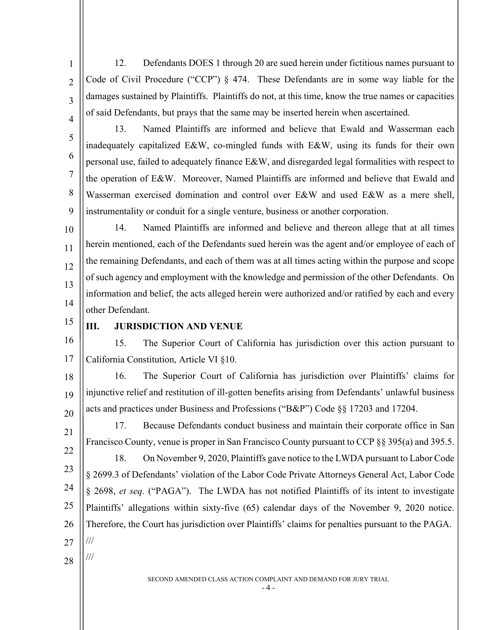12. Defendants DOES 1 through 20 are sued herein under fictitious names pursuant to Code of Civil Procedure ("CCP") § 474. These Defendants are in some way liable for the damages sustained by Plaintiffs. Plaintiffs do not, at this time, know the true names or capacities of said Defendants, but prays that the same may be inserted herein when ascertained.

4 5

6

7

8

9

1

 $\overline{2}$ 

3

13. Named Plaintiffs are informed and believe that Ewald and Wasserman each inadequately capitalized E&W, co-mingled funds with E&W, using its funds for their own personal use, failed to adequately finance E&W, and disregarded legal formalities with respect to the operation of E&W. Moreover, Named Plaintiffs are informed and believe that Ewald and Wasserman exercised domination and control over E&W and used E&W as a mere shell, instrumentality or conduit for a single venture, business or another corporation.

10 11 12 13 14 14. Named Plaintiffs are informed and believe and thereon allege that at all times herein mentioned, each of the Defendants sued herein was the agent and/or employee of each of the remaining Defendants, and each of them was at all times acting within the purpose and scope of such agency and employment with the knowledge and permission of the other Defendants. On information and belief, the acts alleged herein were authorized and/or ratified by each and every other Defendant.

15

## **III. JURISDICTION AND VENUE**

16 17 15. The Superior Court of California has jurisdiction over this action pursuant to California Constitution, Article VI §10.

18 19 20 16. The Superior Court of California has jurisdiction over Plaintiffs' claims for injunctive relief and restitution of ill-gotten benefits arising from Defendants' unlawful business acts and practices under Business and Professions ("B&P") Code §§ 17203 and 17204.

21 22 23 24 25 26 27 17. Because Defendants conduct business and maintain their corporate office in San Francisco County, venue is proper in San Francisco County pursuant to CCP §§ 395(a) and 395.5. 18. On November 9, 2020, Plaintiffs gave notice to the LWDA pursuant to Labor Code § 2699.3 of Defendants' violation of the Labor Code Private Attorneys General Act, Labor Code § 2698, *et seq.* ("PAGA"). The LWDA has not notified Plaintiffs of its intent to investigate Plaintiffs' allegations within sixty-five (65) calendar days of the November 9, 2020 notice. Therefore, the Court has jurisdiction over Plaintiffs' claims for penalties pursuant to the PAGA. ///

28

///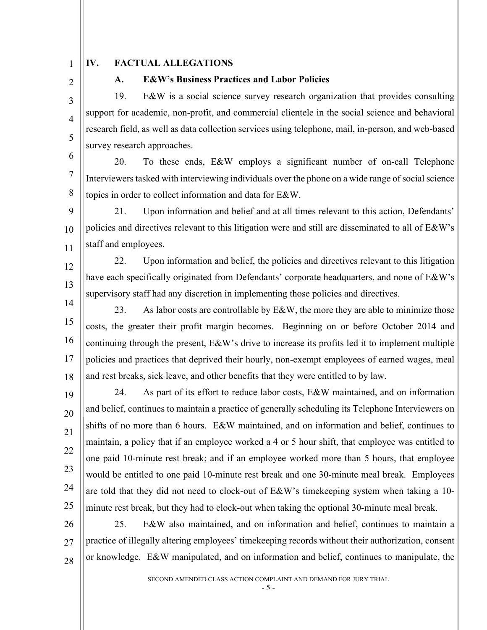1  $\overline{2}$ 

3

4

5

12

13

#### **IV. FACTUAL ALLEGATIONS**

## **A. E&W's Business Practices and Labor Policies**

19. E&W is a social science survey research organization that provides consulting support for academic, non-profit, and commercial clientele in the social science and behavioral research field, as well as data collection services using telephone, mail, in-person, and web-based survey research approaches.

6 7 8 20. To these ends, E&W employs a significant number of on-call Telephone Interviewers tasked with interviewing individuals over the phone on a wide range of social science topics in order to collect information and data for E&W.

9 10 11 21. Upon information and belief and at all times relevant to this action, Defendants' policies and directives relevant to this litigation were and still are disseminated to all of E&W's staff and employees.

14 22. Upon information and belief, the policies and directives relevant to this litigation have each specifically originated from Defendants' corporate headquarters, and none of E&W's supervisory staff had any discretion in implementing those policies and directives.

15 16 17 18 23. As labor costs are controllable by E&W, the more they are able to minimize those costs, the greater their profit margin becomes. Beginning on or before October 2014 and continuing through the present, E&W's drive to increase its profits led it to implement multiple policies and practices that deprived their hourly, non-exempt employees of earned wages, meal and rest breaks, sick leave, and other benefits that they were entitled to by law.

19 20 21 22 23 24 25 24. As part of its effort to reduce labor costs, E&W maintained, and on information and belief, continues to maintain a practice of generally scheduling its Telephone Interviewers on shifts of no more than 6 hours. E&W maintained, and on information and belief, continues to maintain, a policy that if an employee worked a 4 or 5 hour shift, that employee was entitled to one paid 10-minute rest break; and if an employee worked more than 5 hours, that employee would be entitled to one paid 10-minute rest break and one 30-minute meal break. Employees are told that they did not need to clock-out of E&W's timekeeping system when taking a 10 minute rest break, but they had to clock-out when taking the optional 30-minute meal break.

26 27 28 25. E&W also maintained, and on information and belief, continues to maintain a practice of illegally altering employees' timekeeping records without their authorization, consent or knowledge. E&W manipulated, and on information and belief, continues to manipulate, the

SECOND AMENDED CLASS ACTION COMPLAINT AND DEMAND FOR JURY TRIAL

- 5 -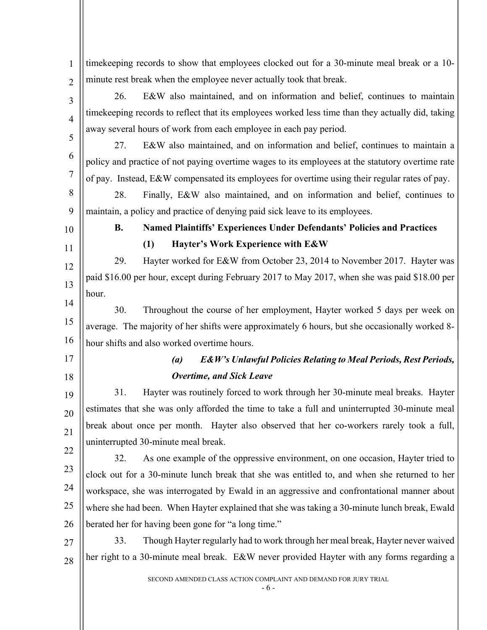SECOND AMENDED CLASS ACTION COMPLAINT AND DEMAND FOR JURY TRIAL - 6 - 1  $\overline{2}$ 3 4 5 6 7 8 9 10 11 12 13 14 15 16 17 18 19 20 21 22 23 24 25 26 27 28 timekeeping records to show that employees clocked out for a 30-minute meal break or a 10 minute rest break when the employee never actually took that break. 26. E&W also maintained, and on information and belief, continues to maintain timekeeping records to reflect that its employees worked less time than they actually did, taking away several hours of work from each employee in each pay period. 27. E&W also maintained, and on information and belief, continues to maintain a policy and practice of not paying overtime wages to its employees at the statutory overtime rate of pay. Instead, E&W compensated its employees for overtime using their regular rates of pay. 28. Finally, E&W also maintained, and on information and belief, continues to maintain, a policy and practice of denying paid sick leave to its employees. **B. Named Plaintiffs' Experiences Under Defendants' Policies and Practices (1) Hayter's Work Experience with E&W** 29. Hayter worked for E&W from October 23, 2014 to November 2017. Hayter was paid \$16.00 per hour, except during February 2017 to May 2017, when she was paid \$18.00 per hour. 30. Throughout the course of her employment, Hayter worked 5 days per week on average. The majority of her shifts were approximately 6 hours, but she occasionally worked 8 hour shifts and also worked overtime hours. *(a) E&W's Unlawful Policies Relating to Meal Periods, Rest Periods, Overtime, and Sick Leave*  31. Hayter was routinely forced to work through her 30-minute meal breaks. Hayter estimates that she was only afforded the time to take a full and uninterrupted 30-minute meal break about once per month. Hayter also observed that her co-workers rarely took a full, uninterrupted 30-minute meal break. 32. As one example of the oppressive environment, on one occasion, Hayter tried to clock out for a 30-minute lunch break that she was entitled to, and when she returned to her workspace, she was interrogated by Ewald in an aggressive and confrontational manner about where she had been. When Hayter explained that she was taking a 30-minute lunch break, Ewald berated her for having been gone for "a long time." 33. Though Hayter regularly had to work through her meal break, Hayter never waived her right to a 30-minute meal break. E&W never provided Hayter with any forms regarding a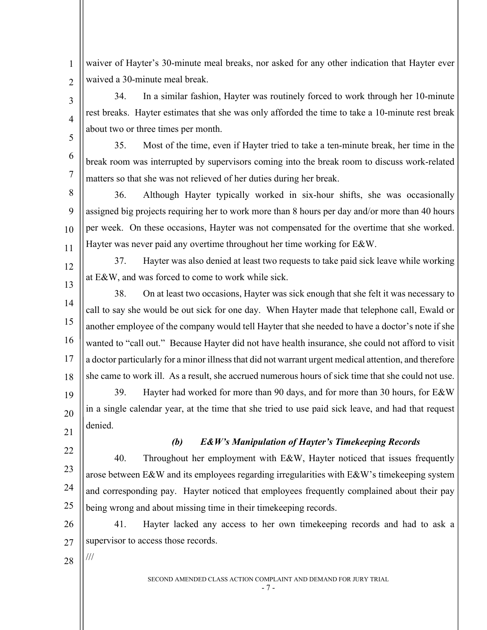1  $\overline{2}$ waiver of Hayter's 30-minute meal breaks, nor asked for any other indication that Hayter ever waived a 30-minute meal break.

34. In a similar fashion, Hayter was routinely forced to work through her 10-minute rest breaks. Hayter estimates that she was only afforded the time to take a 10-minute rest break about two or three times per month.

35. Most of the time, even if Hayter tried to take a ten-minute break, her time in the break room was interrupted by supervisors coming into the break room to discuss work-related matters so that she was not relieved of her duties during her break.

8 9 10 11 36. Although Hayter typically worked in six-hour shifts, she was occasionally assigned big projects requiring her to work more than 8 hours per day and/or more than 40 hours per week. On these occasions, Hayter was not compensated for the overtime that she worked. Hayter was never paid any overtime throughout her time working for E&W.

37. Hayter was also denied at least two requests to take paid sick leave while working at E&W, and was forced to come to work while sick.

14 15 16 17 18 38. On at least two occasions, Hayter was sick enough that she felt it was necessary to call to say she would be out sick for one day. When Hayter made that telephone call, Ewald or another employee of the company would tell Hayter that she needed to have a doctor's note if she wanted to "call out." Because Hayter did not have health insurance, she could not afford to visit a doctor particularly for a minor illness that did not warrant urgent medical attention, and therefore she came to work ill. As a result, she accrued numerous hours of sick time that she could not use.

19 20 39. Hayter had worked for more than 90 days, and for more than 30 hours, for E&W in a single calendar year, at the time that she tried to use paid sick leave, and had that request denied.

21

23

24

25

3

4

5

6

7

12

13

## *(b) E&W's Manipulation of Hayter's Timekeeping Records*

22 40. Throughout her employment with E&W, Hayter noticed that issues frequently arose between E&W and its employees regarding irregularities with E&W's timekeeping system and corresponding pay. Hayter noticed that employees frequently complained about their pay being wrong and about missing time in their timekeeping records.

26 27 41. Hayter lacked any access to her own timekeeping records and had to ask a supervisor to access those records.

28

///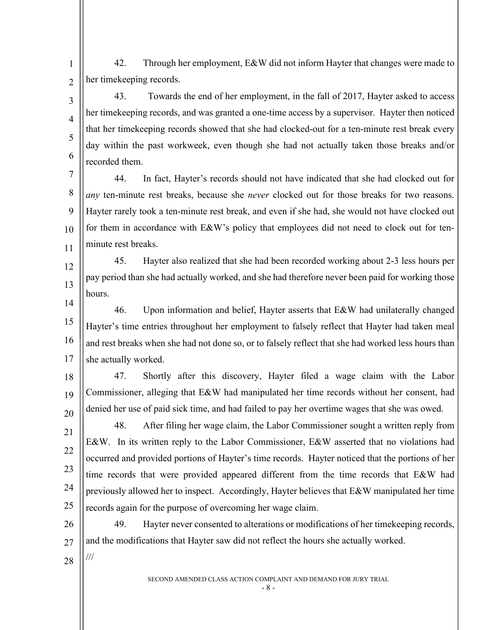1  $\overline{2}$ 42. Through her employment, E&W did not inform Hayter that changes were made to her timekeeping records.

43. Towards the end of her employment, in the fall of 2017, Hayter asked to access her timekeeping records, and was granted a one-time access by a supervisor. Hayter then noticed that her timekeeping records showed that she had clocked-out for a ten-minute rest break every day within the past workweek, even though she had not actually taken those breaks and/or recorded them.

7 8 9 10 11 44. In fact, Hayter's records should not have indicated that she had clocked out for *any* ten-minute rest breaks, because she *never* clocked out for those breaks for two reasons. Hayter rarely took a ten-minute rest break, and even if she had, she would not have clocked out for them in accordance with E&W's policy that employees did not need to clock out for tenminute rest breaks.

12 13 45. Hayter also realized that she had been recorded working about 2-3 less hours per pay period than she had actually worked, and she had therefore never been paid for working those hours.

14 15 16 17 46. Upon information and belief, Hayter asserts that E&W had unilaterally changed Hayter's time entries throughout her employment to falsely reflect that Hayter had taken meal and rest breaks when she had not done so, or to falsely reflect that she had worked less hours than she actually worked.

18 19 20 47. Shortly after this discovery, Hayter filed a wage claim with the Labor Commissioner, alleging that E&W had manipulated her time records without her consent, had denied her use of paid sick time, and had failed to pay her overtime wages that she was owed.

48. After filing her wage claim, the Labor Commissioner sought a written reply from E&W. In its written reply to the Labor Commissioner, E&W asserted that no violations had occurred and provided portions of Hayter's time records. Hayter noticed that the portions of her time records that were provided appeared different from the time records that E&W had previously allowed her to inspect. Accordingly, Hayter believes that E&W manipulated her time records again for the purpose of overcoming her wage claim.

26 27 49. Hayter never consented to alterations or modifications of her timekeeping records, and the modifications that Hayter saw did not reflect the hours she actually worked.

28

///

21

22

23

24

25

3

4

5

6

SECOND AMENDED CLASS ACTION COMPLAINT AND DEMAND FOR JURY TRIAL

- 8 -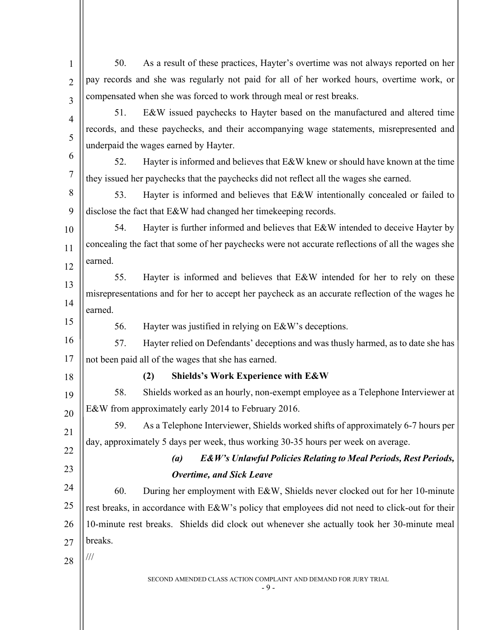| 1              | 50.                                                                                             | As a result of these practices, Hayter's overtime was not always reported on her                  |
|----------------|-------------------------------------------------------------------------------------------------|---------------------------------------------------------------------------------------------------|
| $\overline{2}$ |                                                                                                 | pay records and she was regularly not paid for all of her worked hours, overtime work, or         |
| 3              |                                                                                                 | compensated when she was forced to work through meal or rest breaks.                              |
| $\overline{4}$ | 51.                                                                                             | E&W issued paychecks to Hayter based on the manufactured and altered time                         |
| 5              |                                                                                                 | records, and these paychecks, and their accompanying wage statements, misrepresented and          |
|                |                                                                                                 | underpaid the wages earned by Hayter.                                                             |
| 6              | 52.                                                                                             | Hayter is informed and believes that E&W knew or should have known at the time                    |
| $\overline{7}$ |                                                                                                 | they issued her paychecks that the paychecks did not reflect all the wages she earned.            |
| 8              | 53.                                                                                             | Hayter is informed and believes that E&W intentionally concealed or failed to                     |
| 9              |                                                                                                 | disclose the fact that E&W had changed her timekeeping records.                                   |
| 10             | 54.                                                                                             | Hayter is further informed and believes that E&W intended to deceive Hayter by                    |
| 11             |                                                                                                 | concealing the fact that some of her paychecks were not accurate reflections of all the wages she |
| 12             | earned.                                                                                         |                                                                                                   |
| 13             | 55.                                                                                             | Hayter is informed and believes that E&W intended for her to rely on these                        |
| 14             | misrepresentations and for her to accept her paycheck as an accurate reflection of the wages he |                                                                                                   |
|                | earned.                                                                                         |                                                                                                   |
| 15             | 56.                                                                                             | Hayter was justified in relying on E&W's deceptions.                                              |
| 16             | 57.                                                                                             | Hayter relied on Defendants' deceptions and was thusly harmed, as to date she has                 |
| 17             |                                                                                                 | not been paid all of the wages that she has earned.                                               |
| 18             |                                                                                                 | <b>Shields's Work Experience with E&amp;W</b><br>(2)                                              |
| 19             | 58.                                                                                             | Shields worked as an hourly, non-exempt employee as a Telephone Interviewer at                    |
| 20             |                                                                                                 | E&W from approximately early 2014 to February 2016.                                               |
| 21             | 59.                                                                                             | As a Telephone Interviewer, Shields worked shifts of approximately 6-7 hours per                  |
| 22             |                                                                                                 | day, approximately 5 days per week, thus working 30-35 hours per week on average.                 |
|                |                                                                                                 | <b>E&amp;W's Unlawful Policies Relating to Meal Periods, Rest Periods,</b><br>(a)                 |
| 23             |                                                                                                 | <b>Overtime, and Sick Leave</b>                                                                   |
| 24             | 60.                                                                                             | During her employment with E&W, Shields never clocked out for her 10-minute                       |
| 25             |                                                                                                 | rest breaks, in accordance with E&W's policy that employees did not need to click-out for their   |
| 26             |                                                                                                 | 10-minute rest breaks. Shields did clock out whenever she actually took her 30-minute meal        |
| 27             | breaks.                                                                                         |                                                                                                   |
| 28             | ///                                                                                             |                                                                                                   |
|                |                                                                                                 | SECOND AMENDED CLASS ACTION COMPLAINT AND DEMAND FOR JURY TRIAL<br>$-9-$                          |
|                |                                                                                                 |                                                                                                   |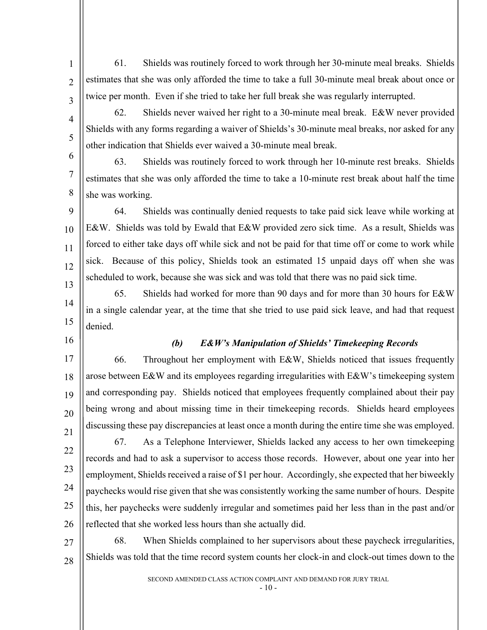61. Shields was routinely forced to work through her 30-minute meal breaks. Shields estimates that she was only afforded the time to take a full 30-minute meal break about once or twice per month. Even if she tried to take her full break she was regularly interrupted.

62. Shields never waived her right to a 30-minute meal break. E&W never provided Shields with any forms regarding a waiver of Shields's 30-minute meal breaks, nor asked for any other indication that Shields ever waived a 30-minute meal break.

63. Shields was routinely forced to work through her 10-minute rest breaks. Shields estimates that she was only afforded the time to take a 10-minute rest break about half the time she was working.

 $\overline{Q}$ 10 11 12 13 64. Shields was continually denied requests to take paid sick leave while working at E&W. Shields was told by Ewald that E&W provided zero sick time. As a result, Shields was forced to either take days off while sick and not be paid for that time off or come to work while sick. Because of this policy, Shields took an estimated 15 unpaid days off when she was scheduled to work, because she was sick and was told that there was no paid sick time.

14 15 65. Shields had worked for more than 90 days and for more than 30 hours for E&W in a single calendar year, at the time that she tried to use paid sick leave, and had that request denied.

16

1

 $\overline{2}$ 

3

4

5

6

7

8

## *(b) E&W's Manipulation of Shields' Timekeeping Records*

17 18 19 20 21 66. Throughout her employment with E&W, Shields noticed that issues frequently arose between E&W and its employees regarding irregularities with E&W's timekeeping system and corresponding pay. Shields noticed that employees frequently complained about their pay being wrong and about missing time in their timekeeping records. Shields heard employees discussing these pay discrepancies at least once a month during the entire time she was employed.

22 23 24 25 26 67. As a Telephone Interviewer, Shields lacked any access to her own timekeeping records and had to ask a supervisor to access those records. However, about one year into her employment, Shields received a raise of \$1 per hour. Accordingly, she expected that her biweekly paychecks would rise given that she was consistently working the same number of hours. Despite this, her paychecks were suddenly irregular and sometimes paid her less than in the past and/or reflected that she worked less hours than she actually did.

27 28 68. When Shields complained to her supervisors about these paycheck irregularities, Shields was told that the time record system counts her clock-in and clock-out times down to the

SECOND AMENDED CLASS ACTION COMPLAINT AND DEMAND FOR JURY TRIAL

 $-10-$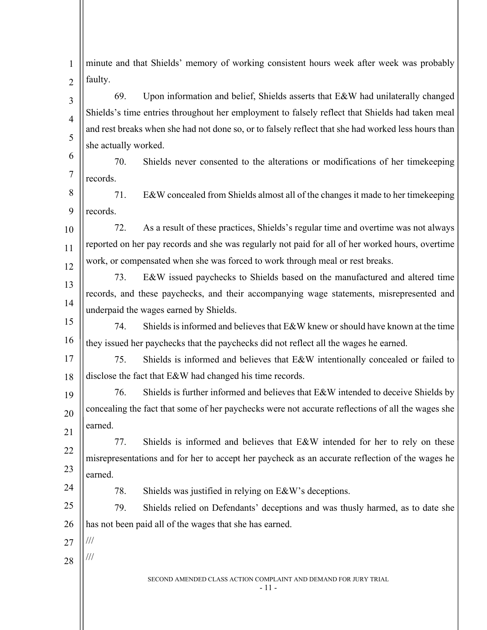| $\mathbf{1}$   | minute and that Shields' memory of working consistent hours week after week was probably            |
|----------------|-----------------------------------------------------------------------------------------------------|
| $\overline{2}$ | faulty.                                                                                             |
| 3              | 69.<br>Upon information and belief, Shields asserts that E&W had unilaterally changed               |
| $\overline{4}$ | Shields's time entries throughout her employment to falsely reflect that Shields had taken meal     |
| 5              | and rest breaks when she had not done so, or to falsely reflect that she had worked less hours than |
|                | she actually worked.                                                                                |
| 6              | 70.<br>Shields never consented to the alterations or modifications of her timekeeping               |
| $\overline{7}$ | records.                                                                                            |
| 8              | E&W concealed from Shields almost all of the changes it made to her timekeeping<br>71.              |
| 9              | records.                                                                                            |
| 10             | 72.<br>As a result of these practices, Shields's regular time and overtime was not always           |
| 11             | reported on her pay records and she was regularly not paid for all of her worked hours, overtime    |
| 12             | work, or compensated when she was forced to work through meal or rest breaks.                       |
| 13             | 73.<br>E&W issued paychecks to Shields based on the manufactured and altered time                   |
| 14             | records, and these paychecks, and their accompanying wage statements, misrepresented and            |
| 15             | underpaid the wages earned by Shields.                                                              |
|                | Shields is informed and believes that E&W knew or should have known at the time<br>74.              |
| 16             | they issued her paychecks that the paychecks did not reflect all the wages he earned.               |
| 17             | 75.<br>Shields is informed and believes that E&W intentionally concealed or failed to               |
| 18             | disclose the fact that E&W had changed his time records.                                            |
| 19             | Shields is further informed and believes that E&W intended to deceive Shields by<br>76.             |
| 20             | concealing the fact that some of her paychecks were not accurate reflections of all the wages she   |
| 21             | earned.                                                                                             |
| 22             | 77.<br>Shields is informed and believes that E&W intended for her to rely on these                  |
| 23             | misrepresentations and for her to accept her paycheck as an accurate reflection of the wages he     |
| 24             | earned.                                                                                             |
|                | 78.<br>Shields was justified in relying on E&W's deceptions.                                        |
| 25             | 79.<br>Shields relied on Defendants' deceptions and was thusly harmed, as to date she               |
| 26             | has not been paid all of the wages that she has earned.                                             |
| 27             | $/\!/ \!/$                                                                                          |
| 28             | ///                                                                                                 |
|                | SECOND AMENDED CLASS ACTION COMPLAINT AND DEMAND FOR JURY TRIAL<br>- 11 -                           |
|                |                                                                                                     |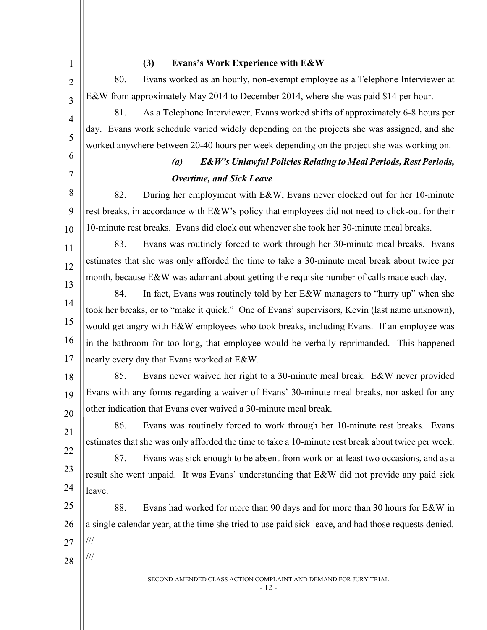1

2

3

4

5

6

7

## **(3) Evans's Work Experience with E&W**

80. Evans worked as an hourly, non-exempt employee as a Telephone Interviewer at E&W from approximately May 2014 to December 2014, where she was paid \$14 per hour.

81. As a Telephone Interviewer, Evans worked shifts of approximately 6-8 hours per day. Evans work schedule varied widely depending on the projects she was assigned, and she worked anywhere between 20-40 hours per week depending on the project she was working on.

# *(a) E&W's Unlawful Policies Relating to Meal Periods, Rest Periods, Overtime, and Sick Leave*

8 9 10 82. During her employment with E&W, Evans never clocked out for her 10-minute rest breaks, in accordance with E&W's policy that employees did not need to click-out for their 10-minute rest breaks. Evans did clock out whenever she took her 30-minute meal breaks.

11 12 13 83. Evans was routinely forced to work through her 30-minute meal breaks. Evans estimates that she was only afforded the time to take a 30-minute meal break about twice per month, because E&W was adamant about getting the requisite number of calls made each day.

14 15 16 17 84. In fact, Evans was routinely told by her E&W managers to "hurry up" when she took her breaks, or to "make it quick." One of Evans' supervisors, Kevin (last name unknown), would get angry with E&W employees who took breaks, including Evans. If an employee was in the bathroom for too long, that employee would be verbally reprimanded. This happened nearly every day that Evans worked at E&W.

18

21

22

23

24

19 20 85. Evans never waived her right to a 30-minute meal break. E&W never provided Evans with any forms regarding a waiver of Evans' 30-minute meal breaks, nor asked for any other indication that Evans ever waived a 30-minute meal break.

86. Evans was routinely forced to work through her 10-minute rest breaks. Evans estimates that she was only afforded the time to take a 10-minute rest break about twice per week.

87. Evans was sick enough to be absent from work on at least two occasions, and as a result she went unpaid. It was Evans' understanding that E&W did not provide any paid sick leave.

25 26 27 88. Evans had worked for more than 90 days and for more than 30 hours for E&W in a single calendar year, at the time she tried to use paid sick leave, and had those requests denied. ///

28

///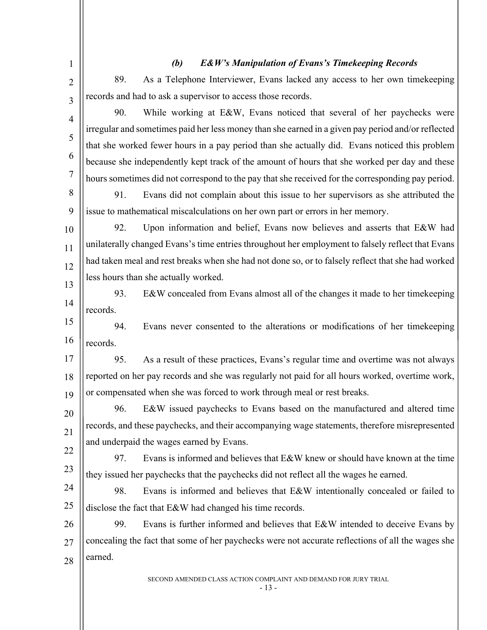| $\mathbf{1}$   |          | <b>E&amp;W's Manipulation of Evans's Timekeeping Records</b><br>(b)                                |
|----------------|----------|----------------------------------------------------------------------------------------------------|
| $\overline{2}$ | 89.      | As a Telephone Interviewer, Evans lacked any access to her own timekeeping                         |
| 3              |          | records and had to ask a supervisor to access those records.                                       |
| $\overline{4}$ | 90.      | While working at E&W, Evans noticed that several of her paychecks were                             |
| 5              |          | irregular and sometimes paid her less money than she earned in a given pay period and/or reflected |
|                |          | that she worked fewer hours in a pay period than she actually did. Evans noticed this problem      |
| 6              |          | because she independently kept track of the amount of hours that she worked per day and these      |
| $\overline{7}$ |          | hours sometimes did not correspond to the pay that she received for the corresponding pay period.  |
| 8              | 91.      | Evans did not complain about this issue to her supervisors as she attributed the                   |
| 9              |          | issue to mathematical miscalculations on her own part or errors in her memory.                     |
| 10             | 92.      | Upon information and belief, Evans now believes and asserts that E&W had                           |
| 11             |          | unilaterally changed Evans's time entries throughout her employment to falsely reflect that Evans  |
| 12             |          | had taken meal and rest breaks when she had not done so, or to falsely reflect that she had worked |
| 13             |          | less hours than she actually worked.                                                               |
| 14             | 93.      | E&W concealed from Evans almost all of the changes it made to her time keeping                     |
|                | records. |                                                                                                    |
| 15             | 94.      | Evans never consented to the alterations or modifications of her timekeeping                       |
| 16             | records. |                                                                                                    |
| 17             | 95.      | As a result of these practices, Evans's regular time and overtime was not always                   |
| 18             |          | reported on her pay records and she was regularly not paid for all hours worked, overtime work,    |
| 19             |          | or compensated when she was forced to work through meal or rest breaks.                            |
| 20             | 96.      | E&W issued paychecks to Evans based on the manufactured and altered time                           |
| 21             |          | records, and these paychecks, and their accompanying wage statements, therefore misrepresented     |
| 22             |          | and underpaid the wages earned by Evans.                                                           |
| 23             | 97.      | Evans is informed and believes that E&W knew or should have known at the time                      |
|                |          | they issued her paychecks that the paychecks did not reflect all the wages he earned.              |
| 24             | 98.      | Evans is informed and believes that E&W intentionally concealed or failed to                       |
| 25             |          | disclose the fact that E&W had changed his time records.                                           |
| 26             | 99.      | Evans is further informed and believes that E&W intended to deceive Evans by                       |
| 27             |          | concealing the fact that some of her paychecks were not accurate reflections of all the wages she  |
| 28             | earned.  |                                                                                                    |
|                |          | SECOND AMENDED CLASS ACTION COMPLAINT AND DEMAND FOR JURY TRIAL                                    |

- 13 -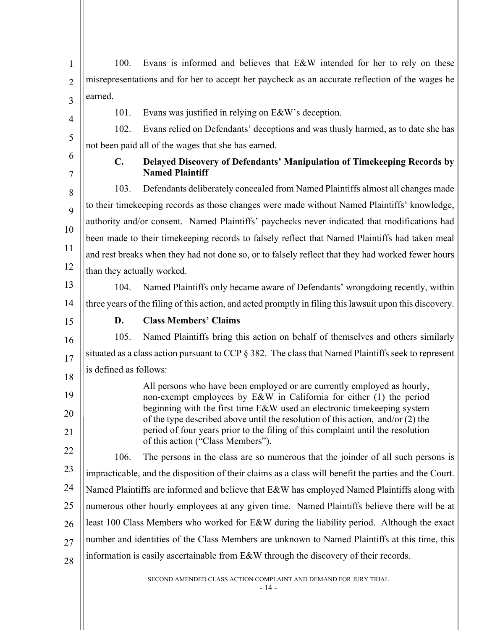| $\mathbf{1}$   | 100.                                                                                            | Evans is informed and believes that E&W intended for her to rely on these                                                                                            |  |
|----------------|-------------------------------------------------------------------------------------------------|----------------------------------------------------------------------------------------------------------------------------------------------------------------------|--|
| $\overline{2}$ | misrepresentations and for her to accept her paycheck as an accurate reflection of the wages he |                                                                                                                                                                      |  |
| 3              | earned.                                                                                         |                                                                                                                                                                      |  |
|                | 101.                                                                                            | Evans was justified in relying on E&W's deception.                                                                                                                   |  |
| 4              | 102.                                                                                            | Evans relied on Defendants' deceptions and was thusly harmed, as to date she has                                                                                     |  |
| 5              |                                                                                                 | not been paid all of the wages that she has earned.                                                                                                                  |  |
| 6<br>7         | $\mathbf{C}$ .                                                                                  | Delayed Discovery of Defendants' Manipulation of Timekeeping Records by<br><b>Named Plaintiff</b>                                                                    |  |
| 8              | 103.                                                                                            | Defendants deliberately concealed from Named Plaintiffs almost all changes made                                                                                      |  |
| 9              |                                                                                                 | to their timekeeping records as those changes were made without Named Plaintiffs' knowledge,                                                                         |  |
|                |                                                                                                 | authority and/or consent. Named Plaintiffs' paychecks never indicated that modifications had                                                                         |  |
| 10             |                                                                                                 | been made to their timekeeping records to falsely reflect that Named Plaintiffs had taken meal                                                                       |  |
| 11             |                                                                                                 | and rest breaks when they had not done so, or to falsely reflect that they had worked fewer hours                                                                    |  |
| 12             | than they actually worked.                                                                      |                                                                                                                                                                      |  |
| 13             | 104.                                                                                            | Named Plaintiffs only became aware of Defendants' wrongdoing recently, within                                                                                        |  |
| 14             |                                                                                                 | three years of the filing of this action, and acted promptly in filing this lawsuit upon this discovery.                                                             |  |
|                |                                                                                                 |                                                                                                                                                                      |  |
| 15             | D.                                                                                              | <b>Class Members' Claims</b>                                                                                                                                         |  |
| 16             | 105.                                                                                            | Named Plaintiffs bring this action on behalf of themselves and others similarly                                                                                      |  |
|                |                                                                                                 | situated as a class action pursuant to CCP $\S 382$ . The class that Named Plaintiffs seek to represent                                                              |  |
|                | is defined as follows:                                                                          |                                                                                                                                                                      |  |
| 17<br>18<br>19 |                                                                                                 | All persons who have been employed or are currently employed as hourly,<br>non-exempt employees by E&W in California for either (1) the period                       |  |
| 20             |                                                                                                 | beginning with the first time E&W used an electronic timekeeping system                                                                                              |  |
| 21             |                                                                                                 | of the type described above until the resolution of this action, and/or $(2)$ the<br>period of four years prior to the filing of this complaint until the resolution |  |
| 22             | 106.                                                                                            | of this action ("Class Members").<br>The persons in the class are so numerous that the joinder of all such persons is                                                |  |
| 23             |                                                                                                 | impracticable, and the disposition of their claims as a class will benefit the parties and the Court.                                                                |  |
| 24             |                                                                                                 | Named Plaintiffs are informed and believe that E&W has employed Named Plaintiffs along with                                                                          |  |
| 25             |                                                                                                 | numerous other hourly employees at any given time. Named Plaintiffs believe there will be at                                                                         |  |
| 26             |                                                                                                 | least 100 Class Members who worked for E&W during the liability period. Although the exact                                                                           |  |
| 27             |                                                                                                 | number and identities of the Class Members are unknown to Named Plaintiffs at this time, this                                                                        |  |

SECOND AMENDED CLASS ACTION COMPLAINT AND DEMAND FOR JURY TRIAL

- 14 -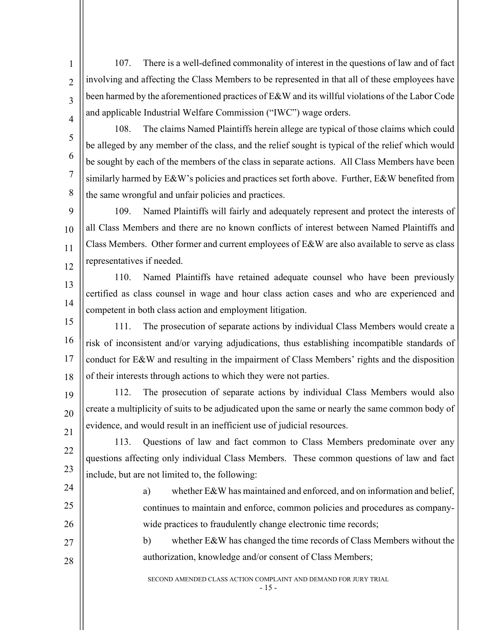107. There is a well-defined commonality of interest in the questions of law and of fact involving and affecting the Class Members to be represented in that all of these employees have been harmed by the aforementioned practices of E&W and its willful violations of the Labor Code and applicable Industrial Welfare Commission ("IWC") wage orders.

4 5

6

7

8

1

 $\overline{2}$ 

3

108. The claims Named Plaintiffs herein allege are typical of those claims which could be alleged by any member of the class, and the relief sought is typical of the relief which would be sought by each of the members of the class in separate actions. All Class Members have been similarly harmed by E&W's policies and practices set forth above. Further, E&W benefited from the same wrongful and unfair policies and practices.

 $\overline{Q}$ 10 11 12 109. Named Plaintiffs will fairly and adequately represent and protect the interests of all Class Members and there are no known conflicts of interest between Named Plaintiffs and Class Members. Other former and current employees of E&W are also available to serve as class representatives if needed.

13 14 110. Named Plaintiffs have retained adequate counsel who have been previously certified as class counsel in wage and hour class action cases and who are experienced and competent in both class action and employment litigation.

15 16 17 18 111. The prosecution of separate actions by individual Class Members would create a risk of inconsistent and/or varying adjudications, thus establishing incompatible standards of conduct for E&W and resulting in the impairment of Class Members' rights and the disposition of their interests through actions to which they were not parties.

19 20 21 112. The prosecution of separate actions by individual Class Members would also create a multiplicity of suits to be adjudicated upon the same or nearly the same common body of evidence, and would result in an inefficient use of judicial resources.

22 23 113. Questions of law and fact common to Class Members predominate over any questions affecting only individual Class Members. These common questions of law and fact include, but are not limited to, the following:

24 25 26 a) whether E&W has maintained and enforced, and on information and belief, continues to maintain and enforce, common policies and procedures as companywide practices to fraudulently change electronic time records;

27 28 b) whether E&W has changed the time records of Class Members without the authorization, knowledge and/or consent of Class Members;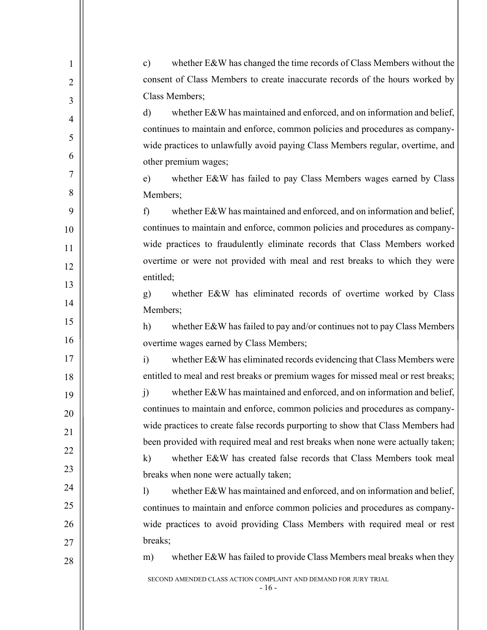| $\mathbf{1}$   | whether E&W has changed the time records of Class Members without the<br>$\mathbf{c})$                                           |
|----------------|----------------------------------------------------------------------------------------------------------------------------------|
| $\overline{2}$ | consent of Class Members to create inaccurate records of the hours worked by                                                     |
| 3              | Class Members;                                                                                                                   |
| $\overline{4}$ | whether E&W has maintained and enforced, and on information and belief,<br>$\mathbf{d}$                                          |
| 5              | continues to maintain and enforce, common policies and procedures as company-                                                    |
|                | wide practices to unlawfully avoid paying Class Members regular, overtime, and                                                   |
| 6              | other premium wages;                                                                                                             |
| $\overline{7}$ | whether E&W has failed to pay Class Members wages earned by Class<br>e)                                                          |
| 8              | Members;                                                                                                                         |
| 9              | whether E&W has maintained and enforced, and on information and belief,<br>f                                                     |
| 10             | continues to maintain and enforce, common policies and procedures as company-                                                    |
| 11             | wide practices to fraudulently eliminate records that Class Members worked                                                       |
| 12             | overtime or were not provided with meal and rest breaks to which they were                                                       |
| 13             | entitled;                                                                                                                        |
| 14             | whether E&W has eliminated records of overtime worked by Class<br>g)                                                             |
| 15             | Members;                                                                                                                         |
| 16             | whether E&W has failed to pay and/or continues not to pay Class Members<br>h)                                                    |
|                | overtime wages earned by Class Members;                                                                                          |
| 17             | whether E&W has eliminated records evidencing that Class Members were<br>$\ddot{i}$                                              |
| 18             | entitled to meal and rest breaks or premium wages for missed meal or rest breaks;                                                |
| 19             | whether E&W has maintained and enforced, and on information and belief,<br>j)                                                    |
| 20             | continues to maintain and enforce, common policies and procedures as company-                                                    |
| 21             | wide practices to create false records purporting to show that Class Members had                                                 |
| 22             | been provided with required meal and rest breaks when none were actually taken;                                                  |
| 23             | whether E&W has created false records that Class Members took meal<br>$\bf k)$                                                   |
| 24             | breaks when none were actually taken;<br>whether E&W has maintained and enforced, and on information and belief,<br>$\mathbf{I}$ |
| 25             | continues to maintain and enforce common policies and procedures as company-                                                     |
| 26             | wide practices to avoid providing Class Members with required meal or rest                                                       |
|                | breaks;                                                                                                                          |
| 27             | whether E&W has failed to provide Class Members meal breaks when they<br>m)                                                      |
| 28             | SECOND AMENDED CLASS ACTION COMPLAINT AND DEMAND FOR JURY TRIAL<br>$-16-$                                                        |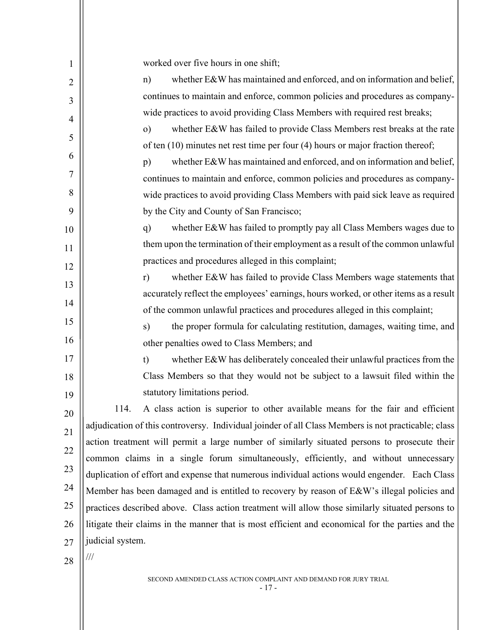| 1              | worked over five hours in one shift;                                                                                                                                                                |  |
|----------------|-----------------------------------------------------------------------------------------------------------------------------------------------------------------------------------------------------|--|
| $\overline{2}$ | whether E&W has maintained and enforced, and on information and belief,<br>n)                                                                                                                       |  |
| 3              | continues to maintain and enforce, common policies and procedures as company-                                                                                                                       |  |
| $\overline{4}$ | wide practices to avoid providing Class Members with required rest breaks;                                                                                                                          |  |
| 5              | whether E&W has failed to provide Class Members rest breaks at the rate<br>$\circ$ )                                                                                                                |  |
|                | of ten $(10)$ minutes net rest time per four $(4)$ hours or major fraction thereof;                                                                                                                 |  |
| 6              | whether E&W has maintained and enforced, and on information and belief,<br>p)                                                                                                                       |  |
| 7              | continues to maintain and enforce, common policies and procedures as company-                                                                                                                       |  |
| 8              | wide practices to avoid providing Class Members with paid sick leave as required                                                                                                                    |  |
| 9              | by the City and County of San Francisco;                                                                                                                                                            |  |
| 10             | whether E&W has failed to promptly pay all Class Members wages due to<br>q)                                                                                                                         |  |
| 11             | them upon the termination of their employment as a result of the common unlawful                                                                                                                    |  |
| 12             | practices and procedures alleged in this complaint;                                                                                                                                                 |  |
| 13             | whether E&W has failed to provide Class Members wage statements that<br>r)                                                                                                                          |  |
| 14             | accurately reflect the employees' earnings, hours worked, or other items as a result                                                                                                                |  |
| 15             | of the common unlawful practices and procedures alleged in this complaint;                                                                                                                          |  |
| 16             | the proper formula for calculating restitution, damages, waiting time, and<br>s)                                                                                                                    |  |
|                | other penalties owed to Class Members; and                                                                                                                                                          |  |
| 17             | whether E&W has deliberately concealed their unlawful practices from the<br>t)                                                                                                                      |  |
| 18             | Class Members so that they would not be subject to a lawsuit filed within the                                                                                                                       |  |
| 19             | statutory limitations period.                                                                                                                                                                       |  |
| 20             | 114.<br>A class action is superior to other available means for the fair and efficient                                                                                                              |  |
| 21             | adjudication of this controversy. Individual joinder of all Class Members is not practicable; class<br>action treatment will permit a large number of similarly situated persons to prosecute their |  |
| 22             | common claims in a single forum simultaneously, efficiently, and without unnecessary                                                                                                                |  |
| 23             | duplication of effort and expense that numerous individual actions would engender. Each Class                                                                                                       |  |
| 24             | Member has been damaged and is entitled to recovery by reason of E&W's illegal policies and                                                                                                         |  |
| 25             | practices described above. Class action treatment will allow those similarly situated persons to                                                                                                    |  |
| 26             | litigate their claims in the manner that is most efficient and economical for the parties and the                                                                                                   |  |
| 27             | judicial system.                                                                                                                                                                                    |  |
| 28             | $\frac{1}{1}$                                                                                                                                                                                       |  |
|                |                                                                                                                                                                                                     |  |
|                | SECOND AMENDED CLASS ACTION COMPLAINT AND DEMAND FOR JURY TRIAL                                                                                                                                     |  |

- 17 -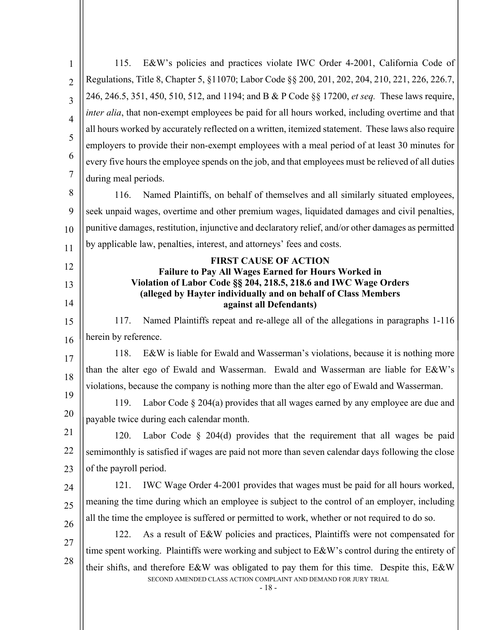| 1<br>$\overline{2}$<br>3<br>$\overline{4}$<br>5<br>6<br>7<br>during meal periods.<br>8<br>116.<br>9<br>10<br>by applicable law, penalties, interest, and attorneys' fees and costs.<br>11<br>12<br><b>Failure to Pay All Wages Earned for Hours Worked in</b><br>13<br>14<br>Named Plaintiffs repeat and re-allege all of the allegations in paragraphs 1-116<br>117.<br>15<br>herein by reference.<br>16<br>118.<br>E&W is liable for Ewald and Wasserman's violations, because it is nothing more<br>17<br>than the alter ego of Ewald and Wasserman. Ewald and Wasserman are liable for E&W's<br>18<br>violations, because the company is nothing more than the alter ego of Ewald and Wasserman.<br>19<br>119.<br>20<br>payable twice during each calendar month.<br>21<br>120.<br>22<br>semimonthly is satisfied if wages are paid not more than seven calendar days following the close<br>of the payroll period.<br>23<br>121.<br>24<br>25<br>all the time the employee is suffered or permitted to work, whether or not required to do so.<br>26<br>122.<br>27<br>28 | E&W's policies and practices violate IWC Order 4-2001, California Code of                                                                                               |
|------------------------------------------------------------------------------------------------------------------------------------------------------------------------------------------------------------------------------------------------------------------------------------------------------------------------------------------------------------------------------------------------------------------------------------------------------------------------------------------------------------------------------------------------------------------------------------------------------------------------------------------------------------------------------------------------------------------------------------------------------------------------------------------------------------------------------------------------------------------------------------------------------------------------------------------------------------------------------------------------------------------------------------------------------------------------------|-------------------------------------------------------------------------------------------------------------------------------------------------------------------------|
|                                                                                                                                                                                                                                                                                                                                                                                                                                                                                                                                                                                                                                                                                                                                                                                                                                                                                                                                                                                                                                                                              | Regulations, Title 8, Chapter 5, §11070; Labor Code §§ 200, 201, 202, 204, 210, 221, 226, 226.7,                                                                        |
|                                                                                                                                                                                                                                                                                                                                                                                                                                                                                                                                                                                                                                                                                                                                                                                                                                                                                                                                                                                                                                                                              | 246, 246.5, 351, 450, 510, 512, and 1194; and B & P Code §§ 17200, et seq. These laws require,                                                                          |
|                                                                                                                                                                                                                                                                                                                                                                                                                                                                                                                                                                                                                                                                                                                                                                                                                                                                                                                                                                                                                                                                              | <i>inter alia</i> , that non-exempt employees be paid for all hours worked, including overtime and that                                                                 |
|                                                                                                                                                                                                                                                                                                                                                                                                                                                                                                                                                                                                                                                                                                                                                                                                                                                                                                                                                                                                                                                                              | all hours worked by accurately reflected on a written, itemized statement. These laws also require                                                                      |
|                                                                                                                                                                                                                                                                                                                                                                                                                                                                                                                                                                                                                                                                                                                                                                                                                                                                                                                                                                                                                                                                              | employers to provide their non-exempt employees with a meal period of at least 30 minutes for                                                                           |
|                                                                                                                                                                                                                                                                                                                                                                                                                                                                                                                                                                                                                                                                                                                                                                                                                                                                                                                                                                                                                                                                              | every five hours the employee spends on the job, and that employees must be relieved of all duties                                                                      |
|                                                                                                                                                                                                                                                                                                                                                                                                                                                                                                                                                                                                                                                                                                                                                                                                                                                                                                                                                                                                                                                                              |                                                                                                                                                                         |
|                                                                                                                                                                                                                                                                                                                                                                                                                                                                                                                                                                                                                                                                                                                                                                                                                                                                                                                                                                                                                                                                              | Named Plaintiffs, on behalf of themselves and all similarly situated employees,                                                                                         |
|                                                                                                                                                                                                                                                                                                                                                                                                                                                                                                                                                                                                                                                                                                                                                                                                                                                                                                                                                                                                                                                                              | seek unpaid wages, overtime and other premium wages, liquidated damages and civil penalties,                                                                            |
|                                                                                                                                                                                                                                                                                                                                                                                                                                                                                                                                                                                                                                                                                                                                                                                                                                                                                                                                                                                                                                                                              | punitive damages, restitution, injunctive and declaratory relief, and/or other damages as permitted                                                                     |
|                                                                                                                                                                                                                                                                                                                                                                                                                                                                                                                                                                                                                                                                                                                                                                                                                                                                                                                                                                                                                                                                              |                                                                                                                                                                         |
|                                                                                                                                                                                                                                                                                                                                                                                                                                                                                                                                                                                                                                                                                                                                                                                                                                                                                                                                                                                                                                                                              | <b>FIRST CAUSE OF ACTION</b>                                                                                                                                            |
|                                                                                                                                                                                                                                                                                                                                                                                                                                                                                                                                                                                                                                                                                                                                                                                                                                                                                                                                                                                                                                                                              | Violation of Labor Code §§ 204, 218.5, 218.6 and IWC Wage Orders                                                                                                        |
|                                                                                                                                                                                                                                                                                                                                                                                                                                                                                                                                                                                                                                                                                                                                                                                                                                                                                                                                                                                                                                                                              | (alleged by Hayter individually and on behalf of Class Members                                                                                                          |
|                                                                                                                                                                                                                                                                                                                                                                                                                                                                                                                                                                                                                                                                                                                                                                                                                                                                                                                                                                                                                                                                              | against all Defendants)                                                                                                                                                 |
|                                                                                                                                                                                                                                                                                                                                                                                                                                                                                                                                                                                                                                                                                                                                                                                                                                                                                                                                                                                                                                                                              |                                                                                                                                                                         |
|                                                                                                                                                                                                                                                                                                                                                                                                                                                                                                                                                                                                                                                                                                                                                                                                                                                                                                                                                                                                                                                                              |                                                                                                                                                                         |
|                                                                                                                                                                                                                                                                                                                                                                                                                                                                                                                                                                                                                                                                                                                                                                                                                                                                                                                                                                                                                                                                              |                                                                                                                                                                         |
|                                                                                                                                                                                                                                                                                                                                                                                                                                                                                                                                                                                                                                                                                                                                                                                                                                                                                                                                                                                                                                                                              |                                                                                                                                                                         |
|                                                                                                                                                                                                                                                                                                                                                                                                                                                                                                                                                                                                                                                                                                                                                                                                                                                                                                                                                                                                                                                                              | Labor Code $\S 204(a)$ provides that all wages earned by any employee are due and                                                                                       |
|                                                                                                                                                                                                                                                                                                                                                                                                                                                                                                                                                                                                                                                                                                                                                                                                                                                                                                                                                                                                                                                                              |                                                                                                                                                                         |
|                                                                                                                                                                                                                                                                                                                                                                                                                                                                                                                                                                                                                                                                                                                                                                                                                                                                                                                                                                                                                                                                              | Labor Code $\S$ 204(d) provides that the requirement that all wages be paid                                                                                             |
|                                                                                                                                                                                                                                                                                                                                                                                                                                                                                                                                                                                                                                                                                                                                                                                                                                                                                                                                                                                                                                                                              |                                                                                                                                                                         |
|                                                                                                                                                                                                                                                                                                                                                                                                                                                                                                                                                                                                                                                                                                                                                                                                                                                                                                                                                                                                                                                                              |                                                                                                                                                                         |
|                                                                                                                                                                                                                                                                                                                                                                                                                                                                                                                                                                                                                                                                                                                                                                                                                                                                                                                                                                                                                                                                              | IWC Wage Order 4-2001 provides that wages must be paid for all hours worked,                                                                                            |
|                                                                                                                                                                                                                                                                                                                                                                                                                                                                                                                                                                                                                                                                                                                                                                                                                                                                                                                                                                                                                                                                              | meaning the time during which an employee is subject to the control of an employer, including                                                                           |
|                                                                                                                                                                                                                                                                                                                                                                                                                                                                                                                                                                                                                                                                                                                                                                                                                                                                                                                                                                                                                                                                              |                                                                                                                                                                         |
|                                                                                                                                                                                                                                                                                                                                                                                                                                                                                                                                                                                                                                                                                                                                                                                                                                                                                                                                                                                                                                                                              | As a result of E&W policies and practices, Plaintiffs were not compensated for                                                                                          |
|                                                                                                                                                                                                                                                                                                                                                                                                                                                                                                                                                                                                                                                                                                                                                                                                                                                                                                                                                                                                                                                                              | time spent working. Plaintiffs were working and subject to E&W's control during the entirety of                                                                         |
|                                                                                                                                                                                                                                                                                                                                                                                                                                                                                                                                                                                                                                                                                                                                                                                                                                                                                                                                                                                                                                                                              | their shifts, and therefore E&W was obligated to pay them for this time. Despite this, E&W<br>SECOND AMENDED CLASS ACTION COMPLAINT AND DEMAND FOR JURY TRIAL<br>$-18-$ |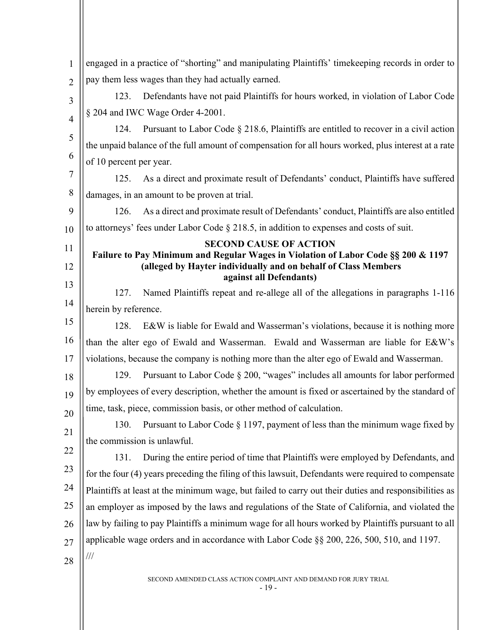| 1              | engaged in a practice of "shorting" and manipulating Plaintiffs' time keeping records in order to                                                   |
|----------------|-----------------------------------------------------------------------------------------------------------------------------------------------------|
| $\overline{2}$ | pay them less wages than they had actually earned.                                                                                                  |
| 3              | Defendants have not paid Plaintiffs for hours worked, in violation of Labor Code<br>123.                                                            |
| $\overline{4}$ | § 204 and IWC Wage Order 4-2001.                                                                                                                    |
| 5              | Pursuant to Labor Code § 218.6, Plaintiffs are entitled to recover in a civil action<br>124.                                                        |
|                | the unpaid balance of the full amount of compensation for all hours worked, plus interest at a rate                                                 |
| 6              | of 10 percent per year.                                                                                                                             |
| 7              | As a direct and proximate result of Defendants' conduct, Plaintiffs have suffered<br>125.                                                           |
| 8              | damages, in an amount to be proven at trial.                                                                                                        |
| 9              | As a direct and proximate result of Defendants' conduct, Plaintiffs are also entitled<br>126.                                                       |
| 10             | to attorneys' fees under Labor Code $\S$ 218.5, in addition to expenses and costs of suit.                                                          |
| 11             | <b>SECOND CAUSE OF ACTION</b>                                                                                                                       |
| 12             | Failure to Pay Minimum and Regular Wages in Violation of Labor Code §§ 200 & 1197<br>(alleged by Hayter individually and on behalf of Class Members |
| 13             | against all Defendants)                                                                                                                             |
| 14             | Named Plaintiffs repeat and re-allege all of the allegations in paragraphs 1-116<br>127.                                                            |
|                | herein by reference.                                                                                                                                |
| 15             | 128.<br>E&W is liable for Ewald and Wasserman's violations, because it is nothing more                                                              |
| 16             | than the alter ego of Ewald and Wasserman. Ewald and Wasserman are liable for E&W's                                                                 |
| 17             | violations, because the company is nothing more than the alter ego of Ewald and Wasserman.                                                          |
| 18             | 129.<br>Pursuant to Labor Code § 200, "wages" includes all amounts for labor performed                                                              |
| 19             | by employees of every description, whether the amount is fixed or ascertained by the standard of                                                    |
| 20             | time, task, piece, commission basis, or other method of calculation.                                                                                |
| 21             | Pursuant to Labor Code § 1197, payment of less than the minimum wage fixed by<br>130.                                                               |
| 22             | the commission is unlawful.                                                                                                                         |
| 23             | 131.<br>During the entire period of time that Plaintiffs were employed by Defendants, and                                                           |
|                | for the four (4) years preceding the filing of this lawsuit, Defendants were required to compensate                                                 |
| 24             | Plaintiffs at least at the minimum wage, but failed to carry out their duties and responsibilities as                                               |
| 25             | an employer as imposed by the laws and regulations of the State of California, and violated the                                                     |
| 26             | law by failing to pay Plaintiffs a minimum wage for all hours worked by Plaintiffs pursuant to all                                                  |
| 27             | applicable wage orders and in accordance with Labor Code §§ 200, 226, 500, 510, and 1197.                                                           |
| 28             | $\frac{1}{1}$                                                                                                                                       |
|                | CLASS ACTION COMPLAINT AND DEMAND FOR HIRY TRIAL                                                                                                    |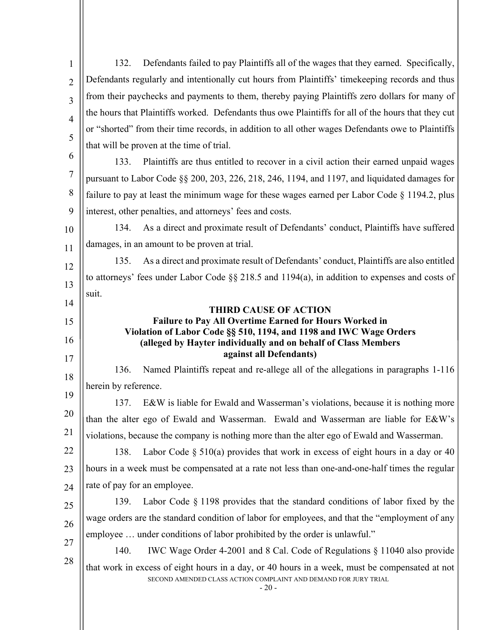SECOND AMENDED CLASS ACTION COMPLAINT AND DEMAND FOR JURY TRIAL  $-20-$ 1  $\overline{2}$ 3 4 5 6 7 8 9 10 11 12 13 14 15 16 17 18 19 20 21 22 23 24 25 26 27 28 132. Defendants failed to pay Plaintiffs all of the wages that they earned. Specifically, Defendants regularly and intentionally cut hours from Plaintiffs' timekeeping records and thus from their paychecks and payments to them, thereby paying Plaintiffs zero dollars for many of the hours that Plaintiffs worked. Defendants thus owe Plaintiffs for all of the hours that they cut or "shorted" from their time records, in addition to all other wages Defendants owe to Plaintiffs that will be proven at the time of trial. 133. Plaintiffs are thus entitled to recover in a civil action their earned unpaid wages pursuant to Labor Code §§ 200, 203, 226, 218, 246, 1194, and 1197, and liquidated damages for failure to pay at least the minimum wage for these wages earned per Labor Code  $\S$  1194.2, plus interest, other penalties, and attorneys' fees and costs. 134. As a direct and proximate result of Defendants' conduct, Plaintiffs have suffered damages, in an amount to be proven at trial. 135. As a direct and proximate result of Defendants' conduct, Plaintiffs are also entitled to attorneys' fees under Labor Code §§ 218.5 and 1194(a), in addition to expenses and costs of suit. **THIRD CAUSE OF ACTION Failure to Pay All Overtime Earned for Hours Worked in Violation of Labor Code §§ 510, 1194, and 1198 and IWC Wage Orders (alleged by Hayter individually and on behalf of Class Members against all Defendants)** 136. Named Plaintiffs repeat and re-allege all of the allegations in paragraphs 1-116 herein by reference. 137. E&W is liable for Ewald and Wasserman's violations, because it is nothing more than the alter ego of Ewald and Wasserman. Ewald and Wasserman are liable for E&W's violations, because the company is nothing more than the alter ego of Ewald and Wasserman. 138. Labor Code  $\S 510(a)$  provides that work in excess of eight hours in a day or 40 hours in a week must be compensated at a rate not less than one-and-one-half times the regular rate of pay for an employee. 139. Labor Code § 1198 provides that the standard conditions of labor fixed by the wage orders are the standard condition of labor for employees, and that the "employment of any employee … under conditions of labor prohibited by the order is unlawful." 140. IWC Wage Order 4-2001 and 8 Cal. Code of Regulations § 11040 also provide that work in excess of eight hours in a day, or 40 hours in a week, must be compensated at not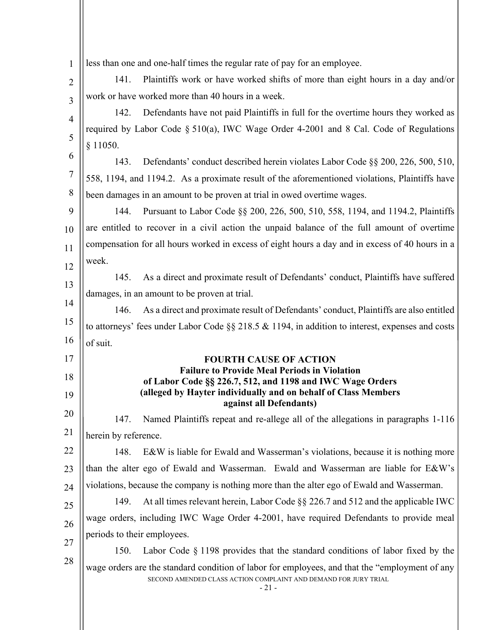| $\mathbf{1}$   | less than one and one-half times the regular rate of pay for an employee.                        |
|----------------|--------------------------------------------------------------------------------------------------|
| $\overline{2}$ | Plaintiffs work or have worked shifts of more than eight hours in a day and/or<br>141.           |
| 3              | work or have worked more than 40 hours in a week.                                                |
| 4              | Defendants have not paid Plaintiffs in full for the overtime hours they worked as<br>142.        |
| 5              | required by Labor Code § 510(a), IWC Wage Order 4-2001 and 8 Cal. Code of Regulations            |
|                | § 11050.                                                                                         |
| 6              | Defendants' conduct described herein violates Labor Code §§ 200, 226, 500, 510,<br>143.          |
| $\overline{7}$ | 558, 1194, and 1194.2. As a proximate result of the aforementioned violations, Plaintiffs have   |
| 8              | been damages in an amount to be proven at trial in owed overtime wages.                          |
| 9              | Pursuant to Labor Code §§ 200, 226, 500, 510, 558, 1194, and 1194.2, Plaintiffs<br>144.          |
| 10             | are entitled to recover in a civil action the unpaid balance of the full amount of overtime      |
| 11             | compensation for all hours worked in excess of eight hours a day and in excess of 40 hours in a  |
| 12             | week.                                                                                            |
| 13             | As a direct and proximate result of Defendants' conduct, Plaintiffs have suffered<br>145.        |
| 14             | damages, in an amount to be proven at trial.                                                     |
|                | As a direct and proximate result of Defendants' conduct, Plaintiffs are also entitled<br>146.    |
| 15             | to attorneys' fees under Labor Code §§ 218.5 & 1194, in addition to interest, expenses and costs |
| 16             | of suit.                                                                                         |
| 17             | <b>FOURTH CAUSE OF ACTION</b><br><b>Failure to Provide Meal Periods in Violation</b>             |
| 18             | of Labor Code §§ 226.7, 512, and 1198 and IWC Wage Orders                                        |
| 19             | (alleged by Hayter individually and on behalf of Class Members<br>against all Defendants)        |
| 20             | Named Plaintiffs repeat and re-allege all of the allegations in paragraphs 1-116<br>147.         |
| 21             | herein by reference.                                                                             |
| 22             | E&W is liable for Ewald and Wasserman's violations, because it is nothing more<br>148.           |
| 23             | than the alter ego of Ewald and Wasserman. Ewald and Wasserman are liable for E&W's              |
| 24             | violations, because the company is nothing more than the alter ego of Ewald and Wasserman.       |
| 25             | At all times relevant herein, Labor Code §§ 226.7 and 512 and the applicable IWC<br>149.         |
| 26             | wage orders, including IWC Wage Order 4-2001, have required Defendants to provide meal           |
|                | periods to their employees.                                                                      |
| 27             | Labor Code $\S$ 1198 provides that the standard conditions of labor fixed by the<br>150.         |
| 28             | wage orders are the standard condition of labor for employees, and that the "employment of any   |
|                | SECOND AMENDED CLASS ACTION COMPLAINT AND DEMAND FOR JURY TRIAL<br>$-21-$                        |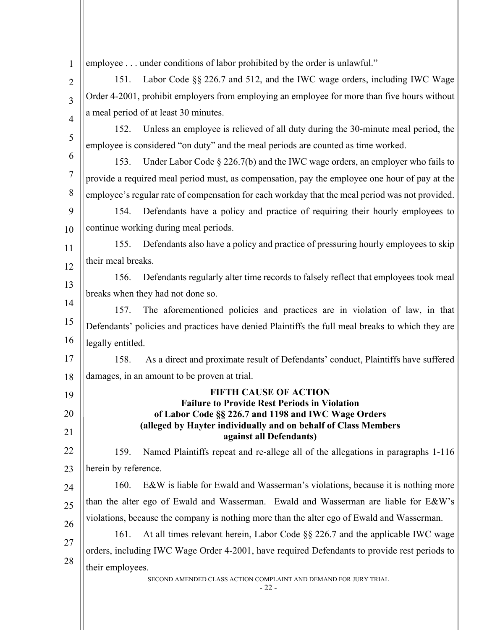| 1                | employee under conditions of labor prohibited by the order is unlawful."                                                                  |  |  |
|------------------|-------------------------------------------------------------------------------------------------------------------------------------------|--|--|
| $\overline{2}$   | Labor Code §§ 226.7 and 512, and the IWC wage orders, including IWC Wage<br>151.                                                          |  |  |
| 3                | Order 4-2001, prohibit employers from employing an employee for more than five hours without                                              |  |  |
| $\overline{4}$   | a meal period of at least 30 minutes.                                                                                                     |  |  |
| 5                | Unless an employee is relieved of all duty during the 30-minute meal period, the<br>152.                                                  |  |  |
|                  | employee is considered "on duty" and the meal periods are counted as time worked.                                                         |  |  |
| 6                | Under Labor Code $\S 226.7(b)$ and the IWC wage orders, an employer who fails to<br>153.                                                  |  |  |
| $\boldsymbol{7}$ | provide a required meal period must, as compensation, pay the employee one hour of pay at the                                             |  |  |
| 8                | employee's regular rate of compensation for each workday that the meal period was not provided.                                           |  |  |
| 9                | Defendants have a policy and practice of requiring their hourly employees to<br>154.                                                      |  |  |
| 10               | continue working during meal periods.                                                                                                     |  |  |
| 11               | Defendants also have a policy and practice of pressuring hourly employees to skip<br>155.                                                 |  |  |
| 12               | their meal breaks.                                                                                                                        |  |  |
| 13               | Defendants regularly alter time records to falsely reflect that employees took meal<br>156.                                               |  |  |
| 14               | breaks when they had not done so.                                                                                                         |  |  |
| 15               | The aforementioned policies and practices are in violation of law, in that<br>157.                                                        |  |  |
| 16               | Defendants' policies and practices have denied Plaintiffs the full meal breaks to which they are                                          |  |  |
| 17               | legally entitled.                                                                                                                         |  |  |
|                  | As a direct and proximate result of Defendants' conduct, Plaintiffs have suffered<br>158.<br>damages, in an amount to be proven at trial. |  |  |
| 18               | <b>FIFTH CAUSE OF ACTION</b>                                                                                                              |  |  |
| 19               | <b>Failure to Provide Rest Periods in Violation</b>                                                                                       |  |  |
| 20               | of Labor Code §§ 226.7 and 1198 and IWC Wage Orders<br>(alleged by Hayter individually and on behalf of Class Members                     |  |  |
| 21               | against all Defendants)                                                                                                                   |  |  |
| 22               | Named Plaintiffs repeat and re-allege all of the allegations in paragraphs 1-116<br>159.                                                  |  |  |
| 23               | herein by reference.                                                                                                                      |  |  |
| 24               | 160.<br>E&W is liable for Ewald and Wasserman's violations, because it is nothing more                                                    |  |  |
| 25               | than the alter ego of Ewald and Wasserman. Ewald and Wasserman are liable for E&W's                                                       |  |  |
| 26               | violations, because the company is nothing more than the alter ego of Ewald and Wasserman.                                                |  |  |
| 27               | At all times relevant herein, Labor Code §§ 226.7 and the applicable IWC wage<br>161.                                                     |  |  |
| 28               | orders, including IWC Wage Order 4-2001, have required Defendants to provide rest periods to                                              |  |  |
|                  | their employees.<br>SECOND AMENDED CLASS ACTION COMPLAINT AND DEMAND FOR JURY TRIAL<br>$-22-$                                             |  |  |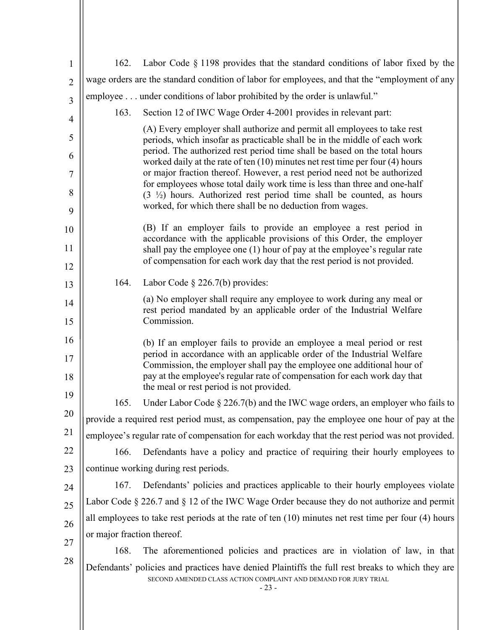| $\mathbf{1}$   | 162.                                                                                           | Labor Code $\S$ 1198 provides that the standard conditions of labor fixed by the                                                                                                                                           |  |
|----------------|------------------------------------------------------------------------------------------------|----------------------------------------------------------------------------------------------------------------------------------------------------------------------------------------------------------------------------|--|
| $\overline{2}$ | wage orders are the standard condition of labor for employees, and that the "employment of any |                                                                                                                                                                                                                            |  |
| 3              |                                                                                                | employee under conditions of labor prohibited by the order is unlawful."                                                                                                                                                   |  |
| $\overline{4}$ | 163.                                                                                           | Section 12 of IWC Wage Order 4-2001 provides in relevant part:                                                                                                                                                             |  |
| 5              |                                                                                                | (A) Every employer shall authorize and permit all employees to take rest<br>periods, which insofar as practicable shall be in the middle of each work                                                                      |  |
| 6              |                                                                                                | period. The authorized rest period time shall be based on the total hours<br>worked daily at the rate of ten $(10)$ minutes net rest time per four $(4)$ hours                                                             |  |
| 7              |                                                                                                | or major fraction thereof. However, a rest period need not be authorized<br>for employees whose total daily work time is less than three and one-half                                                                      |  |
| 8<br>9         |                                                                                                | $(3 \frac{1}{2})$ hours. Authorized rest period time shall be counted, as hours<br>worked, for which there shall be no deduction from wages.                                                                               |  |
| 10             |                                                                                                | (B) If an employer fails to provide an employee a rest period in<br>accordance with the applicable provisions of this Order, the employer                                                                                  |  |
| 11             |                                                                                                | shall pay the employee one (1) hour of pay at the employee's regular rate<br>of compensation for each work day that the rest period is not provided.                                                                       |  |
| 12             |                                                                                                |                                                                                                                                                                                                                            |  |
| 13             | 164.                                                                                           | Labor Code $\S$ 226.7(b) provides:                                                                                                                                                                                         |  |
| 14<br>15       |                                                                                                | (a) No employer shall require any employee to work during any meal or<br>rest period mandated by an applicable order of the Industrial Welfare<br>Commission.                                                              |  |
| 16             |                                                                                                |                                                                                                                                                                                                                            |  |
| 17             |                                                                                                | (b) If an employer fails to provide an employee a meal period or rest<br>period in accordance with an applicable order of the Industrial Welfare<br>Commission, the employer shall pay the employee one additional hour of |  |
| 18<br>19       |                                                                                                | pay at the employee's regular rate of compensation for each work day that<br>the meal or rest period is not provided.                                                                                                      |  |
|                | 165.                                                                                           | Under Labor Code $\S 226.7(b)$ and the IWC wage orders, an employer who fails to                                                                                                                                           |  |
| 20             |                                                                                                | provide a required rest period must, as compensation, pay the employee one hour of pay at the                                                                                                                              |  |
| 21             |                                                                                                | employee's regular rate of compensation for each workday that the rest period was not provided.                                                                                                                            |  |
| 22             | 166.                                                                                           | Defendants have a policy and practice of requiring their hourly employees to                                                                                                                                               |  |
| 23             |                                                                                                | continue working during rest periods.                                                                                                                                                                                      |  |
| 24             | 167.                                                                                           | Defendants' policies and practices applicable to their hourly employees violate                                                                                                                                            |  |
| 25             |                                                                                                | Labor Code $\S 226.7$ and $\S 12$ of the IWC Wage Order because they do not authorize and permit                                                                                                                           |  |
| 26             |                                                                                                | all employees to take rest periods at the rate of ten $(10)$ minutes net rest time per four $(4)$ hours                                                                                                                    |  |
| 27             | or major fraction thereof.                                                                     |                                                                                                                                                                                                                            |  |
| 28             | 168.                                                                                           | The aforementioned policies and practices are in violation of law, in that                                                                                                                                                 |  |
|                |                                                                                                | Defendants' policies and practices have denied Plaintiffs the full rest breaks to which they are<br>SECOND AMENDED CLASS ACTION COMPLAINT AND DEMAND FOR JURY TRIAL<br>$-23-$                                              |  |
|                |                                                                                                |                                                                                                                                                                                                                            |  |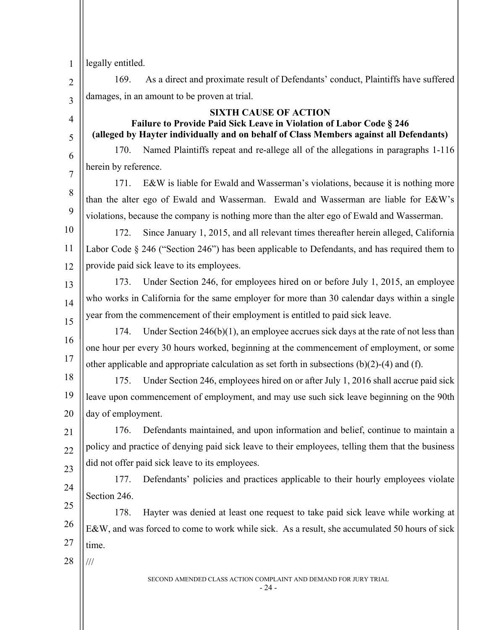1 legally entitled.

4

5

6

7

 $\mathfrak{D}$ 3 169. As a direct and proximate result of Defendants' conduct, Plaintiffs have suffered damages, in an amount to be proven at trial.

#### **SIXTH CAUSE OF ACTION**

# **Failure to Provide Paid Sick Leave in Violation of Labor Code § 246 (alleged by Hayter individually and on behalf of Class Members against all Defendants)**

170. Named Plaintiffs repeat and re-allege all of the allegations in paragraphs 1-116 herein by reference.

8 9 171. E&W is liable for Ewald and Wasserman's violations, because it is nothing more than the alter ego of Ewald and Wasserman. Ewald and Wasserman are liable for E&W's violations, because the company is nothing more than the alter ego of Ewald and Wasserman.

10 11 12 172. Since January 1, 2015, and all relevant times thereafter herein alleged, California Labor Code § 246 ("Section 246") has been applicable to Defendants, and has required them to provide paid sick leave to its employees.

13 14 15 173. Under Section 246, for employees hired on or before July 1, 2015, an employee who works in California for the same employer for more than 30 calendar days within a single year from the commencement of their employment is entitled to paid sick leave.

16 17 174. Under Section 246(b)(1), an employee accrues sick days at the rate of not less than one hour per every 30 hours worked, beginning at the commencement of employment, or some other applicable and appropriate calculation as set forth in subsections  $(b)(2)-(4)$  and  $(f)$ .

18 19 20 175. Under Section 246, employees hired on or after July 1, 2016 shall accrue paid sick leave upon commencement of employment, and may use such sick leave beginning on the 90th day of employment.

21 22 23 176. Defendants maintained, and upon information and belief, continue to maintain a policy and practice of denying paid sick leave to their employees, telling them that the business did not offer paid sick leave to its employees.

24 177. Defendants' policies and practices applicable to their hourly employees violate Section 246.

25 26 27 178. Hayter was denied at least one request to take paid sick leave while working at E&W, and was forced to come to work while sick. As a result, she accumulated 50 hours of sick time.

28

///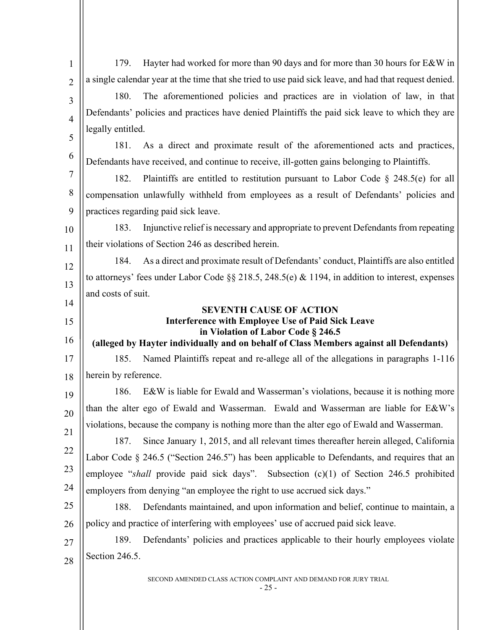| $\mathbf{1}$   | Hayter had worked for more than 90 days and for more than 30 hours for E&W in<br>179.                  |  |
|----------------|--------------------------------------------------------------------------------------------------------|--|
| $\overline{2}$ | a single calendar year at the time that she tried to use paid sick leave, and had that request denied. |  |
| 3              | The aforementioned policies and practices are in violation of law, in that<br>180.                     |  |
| $\overline{4}$ | Defendants' policies and practices have denied Plaintiffs the paid sick leave to which they are        |  |
| 5              | legally entitled.                                                                                      |  |
|                | As a direct and proximate result of the aforementioned acts and practices,<br>181.                     |  |
| 6              | Defendants have received, and continue to receive, ill-gotten gains belonging to Plaintiffs.           |  |
| $\overline{7}$ | Plaintiffs are entitled to restitution pursuant to Labor Code $\S$ 248.5(e) for all<br>182.            |  |
| 8              | compensation unlawfully withheld from employees as a result of Defendants' policies and                |  |
| 9              | practices regarding paid sick leave.                                                                   |  |
| 10             | Injunctive relief is necessary and appropriate to prevent Defendants from repeating<br>183.            |  |
| 11             | their violations of Section 246 as described herein.                                                   |  |
| 12             | As a direct and proximate result of Defendants' conduct, Plaintiffs are also entitled<br>184.          |  |
| 13             | to attorneys' fees under Labor Code §§ 218.5, 248.5(e) & 1194, in addition to interest, expenses       |  |
| 14             | and costs of suit.                                                                                     |  |
| 15             | <b>SEVENTH CAUSE OF ACTION</b><br><b>Interference with Employee Use of Paid Sick Leave</b>             |  |
|                | in Violation of Labor Code § 246.5                                                                     |  |
| 16             | (alleged by Hayter individually and on behalf of Class Members against all Defendants)                 |  |
| 17             | Named Plaintiffs repeat and re-allege all of the allegations in paragraphs 1-116<br>185.               |  |
| 18             | herein by reference.                                                                                   |  |
| 19             | E&W is liable for Ewald and Wasserman's violations, because it is nothing more<br>186.                 |  |
| 20             | than the alter ego of Ewald and Wasserman. Ewald and Wasserman are liable for E&W's                    |  |
| 21             | violations, because the company is nothing more than the alter ego of Ewald and Wasserman.             |  |
| 22             | Since January 1, 2015, and all relevant times thereafter herein alleged, California<br>187.            |  |
| 23             | Labor Code $\S$ 246.5 ("Section 246.5") has been applicable to Defendants, and requires that an        |  |
| 24             | employee "shall provide paid sick days". Subsection (c)(1) of Section 246.5 prohibited                 |  |
|                | employers from denying "an employee the right to use accrued sick days."                               |  |
| 25             | Defendants maintained, and upon information and belief, continue to maintain, a<br>188.                |  |
|                |                                                                                                        |  |
| 26             | policy and practice of interfering with employees' use of accrued paid sick leave.                     |  |
| 27             | Defendants' policies and practices applicable to their hourly employees violate<br>189.                |  |
| 28             | Section 246.5.                                                                                         |  |

- 25 -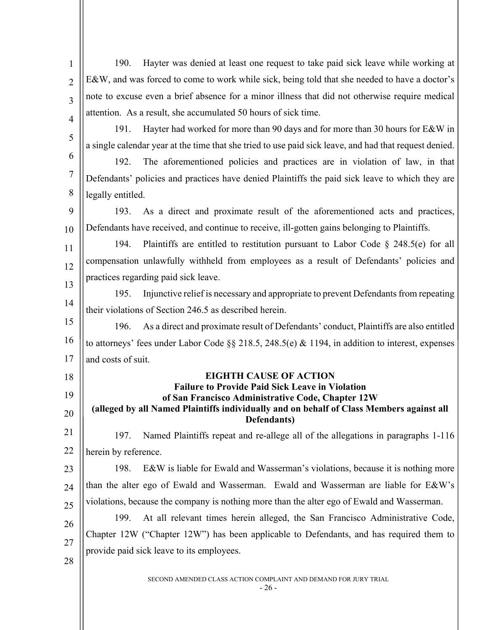| $\mathbf{1}$   | Hayter was denied at least one request to take paid sick leave while working at<br>190.                 |
|----------------|---------------------------------------------------------------------------------------------------------|
| $\overline{2}$ | E&W, and was forced to come to work while sick, being told that she needed to have a doctor's           |
| $\overline{3}$ | note to excuse even a brief absence for a minor illness that did not otherwise require medical          |
| $\overline{4}$ | attention. As a result, she accumulated 50 hours of sick time.                                          |
|                | Hayter had worked for more than 90 days and for more than 30 hours for E&W in<br>191.                   |
| 5              | a single calendar year at the time that she tried to use paid sick leave, and had that request denied.  |
| 6              | The aforementioned policies and practices are in violation of law, in that<br>192.                      |
| $\tau$         | Defendants' policies and practices have denied Plaintiffs the paid sick leave to which they are         |
| 8              | legally entitled.                                                                                       |
| 9              | As a direct and proximate result of the aforementioned acts and practices,<br>193.                      |
| 10             | Defendants have received, and continue to receive, ill-gotten gains belonging to Plaintiffs.            |
| 11             | Plaintiffs are entitled to restitution pursuant to Labor Code $\S$ 248.5(e) for all<br>194.             |
| 12             | compensation unlawfully withheld from employees as a result of Defendants' policies and                 |
| 13             | practices regarding paid sick leave.                                                                    |
| 14             | Injunctive relief is necessary and appropriate to prevent Defendants from repeating<br>195.             |
|                | their violations of Section 246.5 as described herein.                                                  |
| 15             | As a direct and proximate result of Defendants' conduct, Plaintiffs are also entitled<br>196.           |
| 16             | to attorneys' fees under Labor Code §§ 218.5, 248.5(e) & 1194, in addition to interest, expenses        |
| 17             | and costs of suit.                                                                                      |
| 18             | <b>EIGHTH CAUSE OF ACTION</b><br><b>Failure to Provide Paid Sick Leave in Violation</b>                 |
| 19             | of San Francisco Administrative Code, Chapter 12W                                                       |
| 20             | (alleged by all Named Plaintiffs individually and on behalf of Class Members against all<br>Defendants) |
| 21             | Named Plaintiffs repeat and re-allege all of the allegations in paragraphs 1-116<br>197.                |
| 22             | herein by reference.                                                                                    |
| 23             | E&W is liable for Ewald and Wasserman's violations, because it is nothing more<br>198.                  |
| 24             | than the alter ego of Ewald and Wasserman. Ewald and Wasserman are liable for E&W's                     |
| 25             | violations, because the company is nothing more than the alter ego of Ewald and Wasserman.              |
| 26             | At all relevant times herein alleged, the San Francisco Administrative Code,<br>199.                    |
|                | Chapter 12W ("Chapter 12W") has been applicable to Defendants, and has required them to                 |
| 27             | provide paid sick leave to its employees.                                                               |
| 28             |                                                                                                         |
|                | SECOND AMENDED CLASS ACTION COMPLAINT AND DEMAND FOR JURY TRIAL<br>$-26-$                               |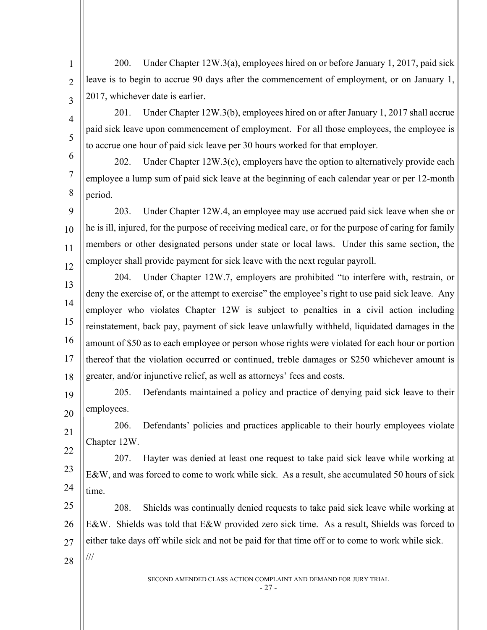200. Under Chapter 12W.3(a), employees hired on or before January 1, 2017, paid sick leave is to begin to accrue 90 days after the commencement of employment, or on January 1, 2017, whichever date is earlier.

1

 $\overline{2}$ 

3

4

5

201. Under Chapter 12W.3(b), employees hired on or after January 1, 2017 shall accrue paid sick leave upon commencement of employment. For all those employees, the employee is to accrue one hour of paid sick leave per 30 hours worked for that employer.

6 7 8 202. Under Chapter  $12W.3(c)$ , employers have the option to alternatively provide each employee a lump sum of paid sick leave at the beginning of each calendar year or per 12-month period.

 $\overline{Q}$ 10 11 12 203. Under Chapter 12W.4, an employee may use accrued paid sick leave when she or he is ill, injured, for the purpose of receiving medical care, or for the purpose of caring for family members or other designated persons under state or local laws. Under this same section, the employer shall provide payment for sick leave with the next regular payroll.

13 14 15 16 17 18 204. Under Chapter 12W.7, employers are prohibited "to interfere with, restrain, or deny the exercise of, or the attempt to exercise" the employee's right to use paid sick leave. Any employer who violates Chapter 12W is subject to penalties in a civil action including reinstatement, back pay, payment of sick leave unlawfully withheld, liquidated damages in the amount of \$50 as to each employee or person whose rights were violated for each hour or portion thereof that the violation occurred or continued, treble damages or \$250 whichever amount is greater, and/or injunctive relief, as well as attorneys' fees and costs.

19 20 205. Defendants maintained a policy and practice of denying paid sick leave to their employees.

21 22 206. Defendants' policies and practices applicable to their hourly employees violate Chapter 12W.

23 24 207. Hayter was denied at least one request to take paid sick leave while working at E&W, and was forced to come to work while sick. As a result, she accumulated 50 hours of sick time.

25 26 27 28 208. Shields was continually denied requests to take paid sick leave while working at E&W. Shields was told that E&W provided zero sick time. As a result, Shields was forced to either take days off while sick and not be paid for that time off or to come to work while sick. ///

SECOND AMENDED CLASS ACTION COMPLAINT AND DEMAND FOR JURY TRIAL

- 27 -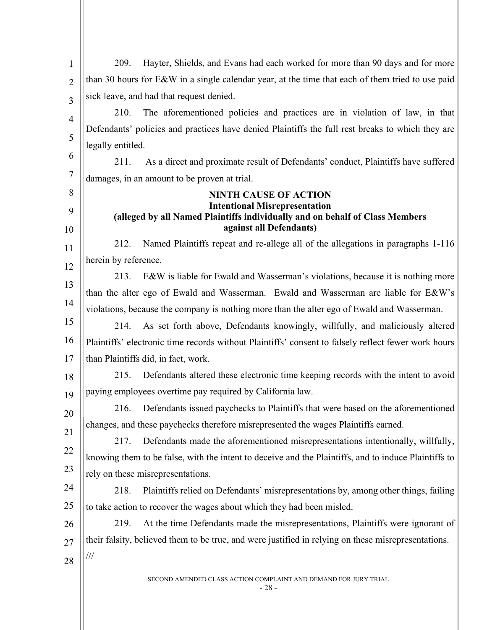| 1              | Hayter, Shields, and Evans had each worked for more than 90 days and for more<br>209.                                |  |
|----------------|----------------------------------------------------------------------------------------------------------------------|--|
| $\overline{2}$ | than 30 hours for E&W in a single calendar year, at the time that each of them tried to use paid                     |  |
| 3              | sick leave, and had that request denied.                                                                             |  |
| $\overline{4}$ | 210.<br>The aforementioned policies and practices are in violation of law, in that                                   |  |
| 5              | Defendants' policies and practices have denied Plaintiffs the full rest breaks to which they are                     |  |
|                | legally entitled.                                                                                                    |  |
| 6              | As a direct and proximate result of Defendants' conduct, Plaintiffs have suffered<br>211.                            |  |
| 7              | damages, in an amount to be proven at trial.                                                                         |  |
| 8              | <b>NINTH CAUSE OF ACTION</b>                                                                                         |  |
| 9              | <b>Intentional Misrepresentation</b><br>(alleged by all Named Plaintiffs individually and on behalf of Class Members |  |
| 10             | against all Defendants)                                                                                              |  |
| 11             | Named Plaintiffs repeat and re-allege all of the allegations in paragraphs 1-116<br>212.                             |  |
| 12             | herein by reference.                                                                                                 |  |
| 13             | 213.<br>E&W is liable for Ewald and Wasserman's violations, because it is nothing more                               |  |
| 14             | than the alter ego of Ewald and Wasserman. Ewald and Wasserman are liable for E&W's                                  |  |
|                | violations, because the company is nothing more than the alter ego of Ewald and Wasserman.                           |  |
| 15             | As set forth above, Defendants knowingly, willfully, and maliciously altered<br>214.                                 |  |
| 16             | Plaintiffs' electronic time records without Plaintiffs' consent to falsely reflect fewer work hours                  |  |
| 17             | than Plaintiffs did, in fact, work.                                                                                  |  |
| 18             | Defendants altered these electronic time keeping records with the intent to avoid<br>215.                            |  |
| 19             | paying employees overtime pay required by California law.                                                            |  |
| 20             | 216. Defendants issued paychecks to Plaintiffs that were based on the aforementioned                                 |  |
| 21             | changes, and these paychecks therefore misrepresented the wages Plaintiffs earned.                                   |  |
| 22             | Defendants made the aforementioned misrepresentations intentionally, willfully,<br>217.                              |  |
| 23             | knowing them to be false, with the intent to deceive and the Plaintiffs, and to induce Plaintiffs to                 |  |
| 24             | rely on these misrepresentations.                                                                                    |  |
| 25             | 218.<br>Plaintiffs relied on Defendants' misrepresentations by, among other things, failing                          |  |
|                | to take action to recover the wages about which they had been misled.                                                |  |
| 26             | At the time Defendants made the misrepresentations, Plaintiffs were ignorant of<br>219.                              |  |
| 27             | their falsity, believed them to be true, and were justified in relying on these misrepresentations.<br>$\frac{1}{1}$ |  |
| 28             |                                                                                                                      |  |
|                | SECOND AMENDED CLASS ACTION COMPLAINT AND DEMAND FOR JURY TRIAL                                                      |  |

- 28 -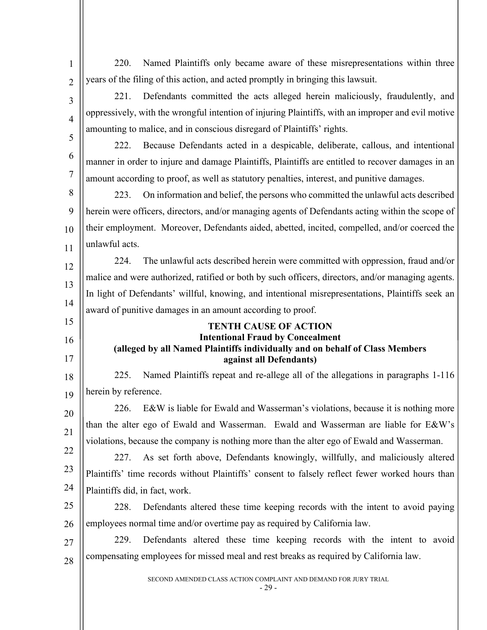| 1              | Named Plaintiffs only became aware of these misrepresentations within three<br>220.                |  |
|----------------|----------------------------------------------------------------------------------------------------|--|
| $\overline{2}$ | years of the filing of this action, and acted promptly in bringing this lawsuit.                   |  |
| 3              | Defendants committed the acts alleged herein maliciously, fraudulently, and<br>221.                |  |
| $\overline{4}$ | oppressively, with the wrongful intention of injuring Plaintiffs, with an improper and evil motive |  |
| 5              | amounting to malice, and in conscious disregard of Plaintiffs' rights.                             |  |
|                | Because Defendants acted in a despicable, deliberate, callous, and intentional<br>222.             |  |
| 6              | manner in order to injure and damage Plaintiffs, Plaintiffs are entitled to recover damages in an  |  |
| 7              | amount according to proof, as well as statutory penalties, interest, and punitive damages.         |  |
| 8              | On information and belief, the persons who committed the unlawful acts described<br>223.           |  |
| 9              | herein were officers, directors, and/or managing agents of Defendants acting within the scope of   |  |
| 10             | their employment. Moreover, Defendants aided, abetted, incited, compelled, and/or coerced the      |  |
| 11             | unlawful acts.                                                                                     |  |
| 12             | The unlawful acts described herein were committed with oppression, fraud and/or<br>224.            |  |
| 13             | malice and were authorized, ratified or both by such officers, directors, and/or managing agents.  |  |
| 14             | In light of Defendants' willful, knowing, and intentional misrepresentations, Plaintiffs seek an   |  |
| 15             | award of punitive damages in an amount according to proof.                                         |  |
|                | <b>TENTH CAUSE OF ACTION</b><br><b>Intentional Fraud by Concealment</b>                            |  |
| 16             | (alleged by all Named Plaintiffs individually and on behalf of Class Members                       |  |
|                |                                                                                                    |  |
| 17             | against all Defendants)                                                                            |  |
| 18             | Named Plaintiffs repeat and re-allege all of the allegations in paragraphs 1-116<br>225.           |  |
| 19             | herein by reference.                                                                               |  |
| 20             | E&W is liable for Ewald and Wasserman's violations, because it is nothing more<br>226.             |  |
| 21             | than the alter ego of Ewald and Wasserman. Ewald and Wasserman are liable for E&W's                |  |
| 22             | violations, because the company is nothing more than the alter ego of Ewald and Wasserman.         |  |
| 23             | As set forth above, Defendants knowingly, willfully, and maliciously altered<br>227.               |  |
|                | Plaintiffs' time records without Plaintiffs' consent to falsely reflect fewer worked hours than    |  |
| 24             | Plaintiffs did, in fact, work.                                                                     |  |
| 25             | Defendants altered these time keeping records with the intent to avoid paying<br>228.              |  |
| 26             | employees normal time and/or overtime pay as required by California law.                           |  |
| 27             | Defendants altered these time keeping records with the intent to avoid<br>229.                     |  |
| 28             | compensating employees for missed meal and rest breaks as required by California law.              |  |
|                | SECOND AMENDED CLASS ACTION COMPLAINT AND DEMAND FOR JURY TRIAL<br>- 29 -                          |  |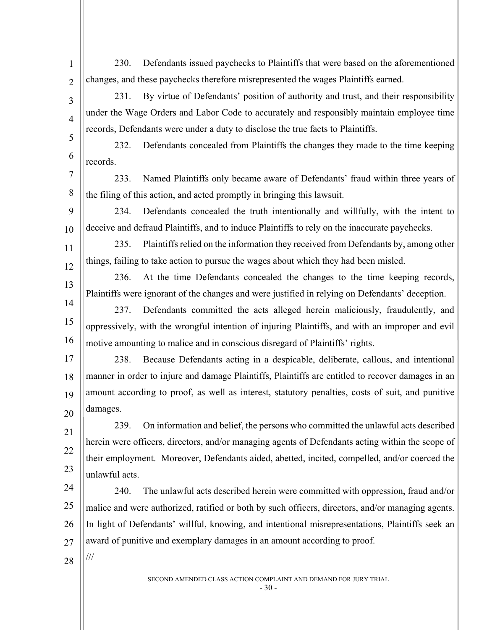SECOND AMENDED CLASS ACTION COMPLAINT AND DEMAND FOR JURY TRIAL 1  $\overline{2}$ 3 4 5 6 7 8 9 10 11 12 13 14 15 16 17 18 19 20 21 22 23 24 25 26 27 28 230. Defendants issued paychecks to Plaintiffs that were based on the aforementioned changes, and these paychecks therefore misrepresented the wages Plaintiffs earned. 231. By virtue of Defendants' position of authority and trust, and their responsibility under the Wage Orders and Labor Code to accurately and responsibly maintain employee time records, Defendants were under a duty to disclose the true facts to Plaintiffs. 232. Defendants concealed from Plaintiffs the changes they made to the time keeping records. 233. Named Plaintiffs only became aware of Defendants' fraud within three years of the filing of this action, and acted promptly in bringing this lawsuit. 234. Defendants concealed the truth intentionally and willfully, with the intent to deceive and defraud Plaintiffs, and to induce Plaintiffs to rely on the inaccurate paychecks. 235. Plaintiffs relied on the information they received from Defendants by, among other things, failing to take action to pursue the wages about which they had been misled. 236. At the time Defendants concealed the changes to the time keeping records, Plaintiffs were ignorant of the changes and were justified in relying on Defendants' deception. 237. Defendants committed the acts alleged herein maliciously, fraudulently, and oppressively, with the wrongful intention of injuring Plaintiffs, and with an improper and evil motive amounting to malice and in conscious disregard of Plaintiffs' rights. 238. Because Defendants acting in a despicable, deliberate, callous, and intentional manner in order to injure and damage Plaintiffs, Plaintiffs are entitled to recover damages in an amount according to proof, as well as interest, statutory penalties, costs of suit, and punitive damages. 239. On information and belief, the persons who committed the unlawful acts described herein were officers, directors, and/or managing agents of Defendants acting within the scope of their employment. Moreover, Defendants aided, abetted, incited, compelled, and/or coerced the unlawful acts. 240. The unlawful acts described herein were committed with oppression, fraud and/or malice and were authorized, ratified or both by such officers, directors, and/or managing agents. In light of Defendants' willful, knowing, and intentional misrepresentations, Plaintiffs seek an award of punitive and exemplary damages in an amount according to proof. ///

- 30 -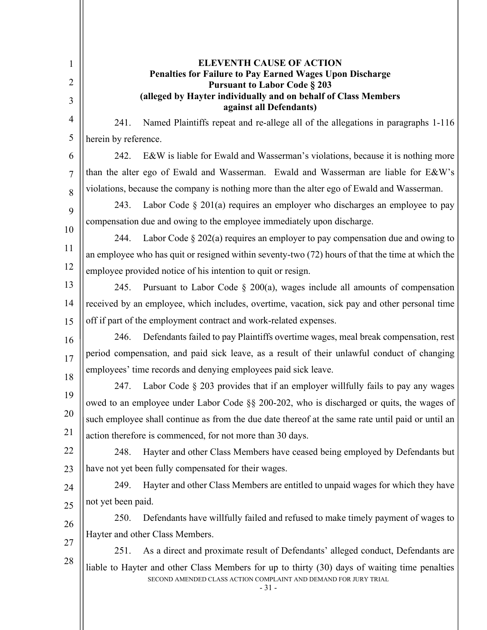| $\mathbf{1}$   | <b>ELEVENTH CAUSE OF ACTION</b><br><b>Penalties for Failure to Pay Earned Wages Upon Discharge</b>                                                                         |
|----------------|----------------------------------------------------------------------------------------------------------------------------------------------------------------------------|
| $\overline{2}$ | <b>Pursuant to Labor Code § 203</b>                                                                                                                                        |
| 3              | (alleged by Hayter individually and on behalf of Class Members<br>against all Defendants)                                                                                  |
| 4              | Named Plaintiffs repeat and re-allege all of the allegations in paragraphs 1-116<br>241.                                                                                   |
| 5              | herein by reference.                                                                                                                                                       |
| 6              | E&W is liable for Ewald and Wasserman's violations, because it is nothing more<br>242.                                                                                     |
| 7              | than the alter ego of Ewald and Wasserman. Ewald and Wasserman are liable for E&W's                                                                                        |
| 8              | violations, because the company is nothing more than the alter ego of Ewald and Wasserman.                                                                                 |
| 9              | Labor Code $\S 201(a)$ requires an employer who discharges an employee to pay<br>243.                                                                                      |
| 10             | compensation due and owing to the employee immediately upon discharge.                                                                                                     |
|                | Labor Code $\S 202(a)$ requires an employer to pay compensation due and owing to<br>244.                                                                                   |
| 11             | an employee who has quit or resigned within seventy-two (72) hours of that the time at which the                                                                           |
| 12             | employee provided notice of his intention to quit or resign.                                                                                                               |
| 13             | 245.<br>Pursuant to Labor Code $\S$ 200(a), wages include all amounts of compensation                                                                                      |
| 14             | received by an employee, which includes, overtime, vacation, sick pay and other personal time                                                                              |
| 15             | off if part of the employment contract and work-related expenses.                                                                                                          |
| 16             | Defendants failed to pay Plaintiffs overtime wages, meal break compensation, rest<br>246.                                                                                  |
| 17             | period compensation, and paid sick leave, as a result of their unlawful conduct of changing                                                                                |
| 18             | employees' time records and denying employees paid sick leave.                                                                                                             |
| 19             | Labor Code $\S$ 203 provides that if an employer willfully fails to pay any wages<br>247.                                                                                  |
|                | owed to an employee under Labor Code §§ 200-202, who is discharged or quits, the wages of                                                                                  |
| 20             | such employee shall continue as from the due date thereof at the same rate until paid or until an                                                                          |
| 21             | action therefore is commenced, for not more than 30 days.                                                                                                                  |
| 22             | Hayter and other Class Members have ceased being employed by Defendants but<br>248.                                                                                        |
| 23             | have not yet been fully compensated for their wages.                                                                                                                       |
| 24             | Hayter and other Class Members are entitled to unpaid wages for which they have<br>249.                                                                                    |
| 25             | not yet been paid.                                                                                                                                                         |
| 26             | Defendants have willfully failed and refused to make timely payment of wages to<br>250.                                                                                    |
| 27             | Hayter and other Class Members.                                                                                                                                            |
| 28             | As a direct and proximate result of Defendants' alleged conduct, Defendants are<br>251.                                                                                    |
|                | liable to Hayter and other Class Members for up to thirty (30) days of waiting time penalties<br>SECOND AMENDED CLASS ACTION COMPLAINT AND DEMAND FOR JURY TRIAL<br>$-31-$ |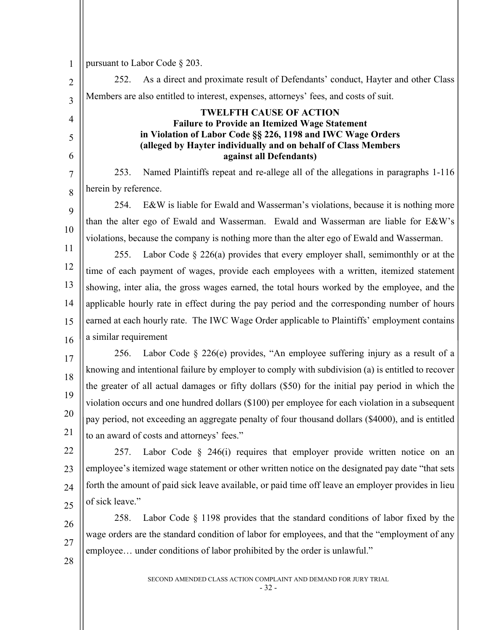pursuant to Labor Code § 203. 252. As a direct and proximate result of Defendants' conduct, Hayter and other Class Members are also entitled to interest, expenses, attorneys' fees, and costs of suit. **TWELFTH CAUSE OF ACTION Failure to Provide an Itemized Wage Statement in Violation of Labor Code §§ 226, 1198 and IWC Wage Orders (alleged by Hayter individually and on behalf of Class Members against all Defendants)** 253. Named Plaintiffs repeat and re-allege all of the allegations in paragraphs 1-116 herein by reference. 254. E&W is liable for Ewald and Wasserman's violations, because it is nothing more than the alter ego of Ewald and Wasserman. Ewald and Wasserman are liable for E&W's violations, because the company is nothing more than the alter ego of Ewald and Wasserman. 255. Labor Code § 226(a) provides that every employer shall, semimonthly or at the time of each payment of wages, provide each employees with a written, itemized statement showing, inter alia, the gross wages earned, the total hours worked by the employee, and the applicable hourly rate in effect during the pay period and the corresponding number of hours earned at each hourly rate. The IWC Wage Order applicable to Plaintiffs' employment contains a similar requirement 256. Labor Code § 226(e) provides, "An employee suffering injury as a result of a knowing and intentional failure by employer to comply with subdivision (a) is entitled to recover the greater of all actual damages or fifty dollars (\$50) for the initial pay period in which the violation occurs and one hundred dollars (\$100) per employee for each violation in a subsequent pay period, not exceeding an aggregate penalty of four thousand dollars (\$4000), and is entitled to an award of costs and attorneys' fees." 257. Labor Code  $\S$  246(i) requires that employer provide written notice on an employee's itemized wage statement or other written notice on the designated pay date "that sets forth the amount of paid sick leave available, or paid time off leave an employer provides in lieu of sick leave." 258. Labor Code § 1198 provides that the standard conditions of labor fixed by the wage orders are the standard condition of labor for employees, and that the "employment of any employee… under conditions of labor prohibited by the order is unlawful."

1

 $\mathfrak{D}$ 

3

4

5

6

7

8

9

10

11

12

13

14

15

16

17

18

19

20

21

22

23

24

25

26

27

28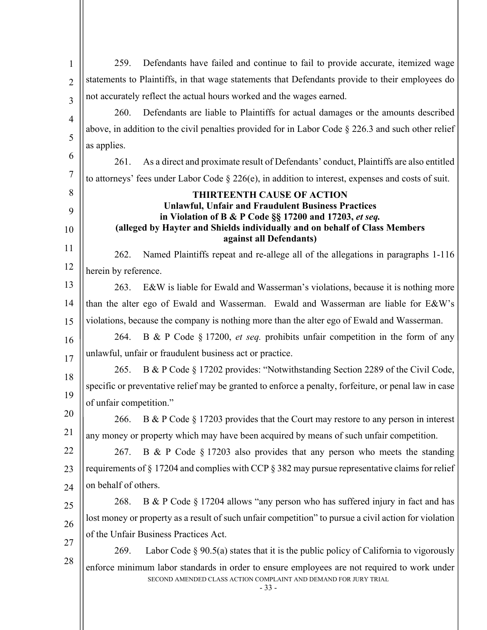| $\mathbf{1}$   | Defendants have failed and continue to fail to provide accurate, itemized wage<br>259.                                                                                   |  |
|----------------|--------------------------------------------------------------------------------------------------------------------------------------------------------------------------|--|
| $\overline{2}$ | statements to Plaintiffs, in that wage statements that Defendants provide to their employees do                                                                          |  |
| 3              | not accurately reflect the actual hours worked and the wages earned.                                                                                                     |  |
| 4              | 260.<br>Defendants are liable to Plaintiffs for actual damages or the amounts described                                                                                  |  |
| 5              | above, in addition to the civil penalties provided for in Labor Code $\S 226.3$ and such other relief                                                                    |  |
|                | as applies.                                                                                                                                                              |  |
| 6              | As a direct and proximate result of Defendants' conduct, Plaintiffs are also entitled<br>261.                                                                            |  |
| 7              | to attorneys' fees under Labor Code $\S 226(e)$ , in addition to interest, expenses and costs of suit.                                                                   |  |
| 8              | <b>THIRTEENTH CAUSE OF ACTION</b>                                                                                                                                        |  |
| 9              | <b>Unlawful, Unfair and Fraudulent Business Practices</b><br>in Violation of B & P Code §§ 17200 and 17203, et seq.                                                      |  |
| 10             | (alleged by Hayter and Shields individually and on behalf of Class Members<br>against all Defendants)                                                                    |  |
| 11             | Named Plaintiffs repeat and re-allege all of the allegations in paragraphs 1-116<br>262.                                                                                 |  |
| 12             | herein by reference.                                                                                                                                                     |  |
| 13             | E&W is liable for Ewald and Wasserman's violations, because it is nothing more<br>263.                                                                                   |  |
| 14             | than the alter ego of Ewald and Wasserman. Ewald and Wasserman are liable for E&W's                                                                                      |  |
| 15             | violations, because the company is nothing more than the alter ego of Ewald and Wasserman.                                                                               |  |
| 16             | B & P Code § 17200, <i>et seq.</i> prohibits unfair competition in the form of any<br>264.                                                                               |  |
| 17             | unlawful, unfair or fraudulent business act or practice.                                                                                                                 |  |
| 18             | B & P Code § 17202 provides: "Notwithstanding Section 2289 of the Civil Code,<br>265.                                                                                    |  |
| 19             | specific or preventative relief may be granted to enforce a penalty, forfeiture, or penal law in case                                                                    |  |
|                | of unfair competition."                                                                                                                                                  |  |
| 20             | B & P Code $\S 17203$ provides that the Court may restore to any person in interest<br>266.                                                                              |  |
| 21             | any money or property which may have been acquired by means of such unfair competition.                                                                                  |  |
| 22             | B & P Code $\S 17203$ also provides that any person who meets the standing<br>267.                                                                                       |  |
| 23             | requirements of $\S 17204$ and complies with CCP $\S 382$ may pursue representative claims for relief                                                                    |  |
| 24             | on behalf of others.                                                                                                                                                     |  |
| 25             | B & P Code § 17204 allows "any person who has suffered injury in fact and has<br>268.                                                                                    |  |
| 26             | lost money or property as a result of such unfair competition" to pursue a civil action for violation                                                                    |  |
| 27             | of the Unfair Business Practices Act.                                                                                                                                    |  |
| 28             | Labor Code $\S 90.5(a)$ states that it is the public policy of California to vigorously<br>269.                                                                          |  |
|                | enforce minimum labor standards in order to ensure employees are not required to work under<br>SECOND AMENDED CLASS ACTION COMPLAINT AND DEMAND FOR JURY TRIAL<br>$-33-$ |  |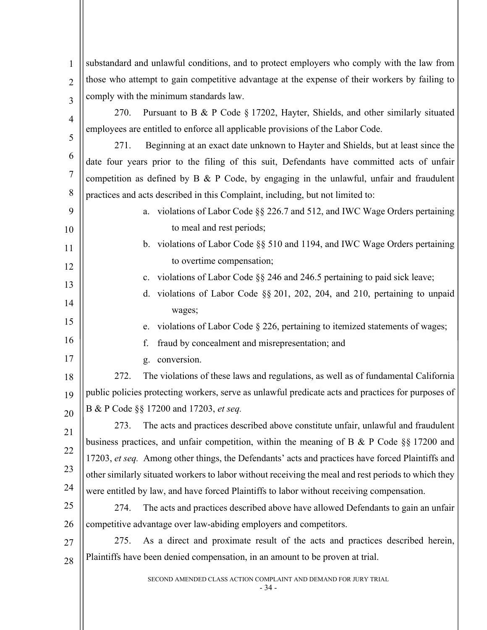SECOND AMENDED CLASS ACTION COMPLAINT AND DEMAND FOR JURY TRIAL - 34 - 1  $\overline{2}$ 3 4 5 6 7 8  $\overline{Q}$ 10 11 12 13 14 15 16 17 18 19 20 21 22 23 24 25 26 27 28 substandard and unlawful conditions, and to protect employers who comply with the law from those who attempt to gain competitive advantage at the expense of their workers by failing to comply with the minimum standards law. 270. Pursuant to B & P Code § 17202, Hayter, Shields, and other similarly situated employees are entitled to enforce all applicable provisions of the Labor Code. 271. Beginning at an exact date unknown to Hayter and Shields, but at least since the date four years prior to the filing of this suit, Defendants have committed acts of unfair competition as defined by  $B \& P$  Code, by engaging in the unlawful, unfair and fraudulent practices and acts described in this Complaint, including, but not limited to: a. violations of Labor Code §§ 226.7 and 512, and IWC Wage Orders pertaining to meal and rest periods; b. violations of Labor Code §§ 510 and 1194, and IWC Wage Orders pertaining to overtime compensation; c. violations of Labor Code §§ 246 and 246.5 pertaining to paid sick leave; d. violations of Labor Code §§ 201, 202, 204, and 210, pertaining to unpaid wages; e. violations of Labor Code § 226, pertaining to itemized statements of wages; f. fraud by concealment and misrepresentation; and g. conversion. 272. The violations of these laws and regulations, as well as of fundamental California public policies protecting workers, serve as unlawful predicate acts and practices for purposes of B & P Code §§ 17200 and 17203, *et seq.* 273. The acts and practices described above constitute unfair, unlawful and fraudulent business practices, and unfair competition, within the meaning of B & P Code §§ 17200 and 17203, *et seq.* Among other things, the Defendants' acts and practices have forced Plaintiffs and other similarly situated workers to labor without receiving the meal and rest periods to which they were entitled by law, and have forced Plaintiffs to labor without receiving compensation. 274. The acts and practices described above have allowed Defendants to gain an unfair competitive advantage over law-abiding employers and competitors. 275. As a direct and proximate result of the acts and practices described herein, Plaintiffs have been denied compensation, in an amount to be proven at trial.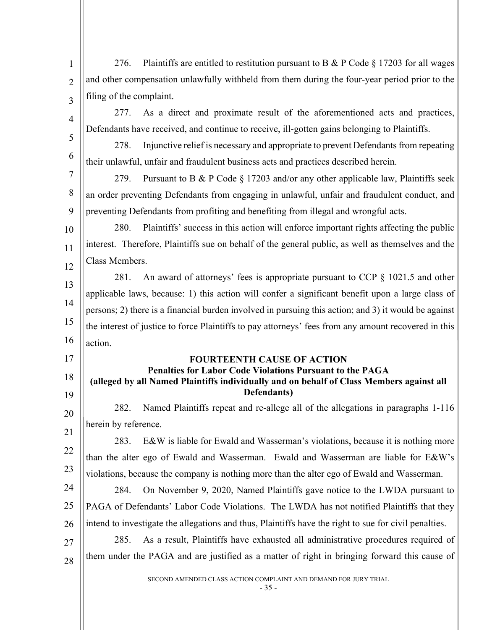| $\mathbf{1}$   | Plaintiffs are entitled to restitution pursuant to B & P Code $\S 17203$ for all wages<br>276.        |
|----------------|-------------------------------------------------------------------------------------------------------|
| $\overline{2}$ | and other compensation unlawfully withheld from them during the four-year period prior to the         |
| 3              | filing of the complaint.                                                                              |
| $\overline{4}$ | As a direct and proximate result of the aforementioned acts and practices,<br>277.                    |
| 5              | Defendants have received, and continue to receive, ill-gotten gains belonging to Plaintiffs.          |
|                | Injunctive relief is necessary and appropriate to prevent Defendants from repeating<br>278.           |
| 6              | their unlawful, unfair and fraudulent business acts and practices described herein.                   |
| 7              | Pursuant to B & P Code § 17203 and/or any other applicable law, Plaintiffs seek<br>279.               |
| 8              | an order preventing Defendants from engaging in unlawful, unfair and fraudulent conduct, and          |
| 9              | preventing Defendants from profiting and benefiting from illegal and wrongful acts.                   |
| 10             | Plaintiffs' success in this action will enforce important rights affecting the public<br>280.         |
| 11             | interest. Therefore, Plaintiffs sue on behalf of the general public, as well as themselves and the    |
| 12             | Class Members.                                                                                        |
| 13             | An award of attorneys' fees is appropriate pursuant to CCP $\S$ 1021.5 and other<br>281.              |
| 14             | applicable laws, because: 1) this action will confer a significant benefit upon a large class of      |
|                | persons; 2) there is a financial burden involved in pursuing this action; and 3) it would be against  |
| 15             | the interest of justice to force Plaintiffs to pay attorneys' fees from any amount recovered in this  |
| 16             | action.                                                                                               |
| 17             | <b>FOURTEENTH CAUSE OF ACTION</b><br>Penalties for Labor Code Violations Pursuant to the PAGA         |
| 18             | (alleged by all Named Plaintiffs individually and on behalf of Class Members against all              |
| 19             | Defendants)                                                                                           |
| 20             | Named Plaintiffs repeat and re-allege all of the allegations in paragraphs 1-116<br>282.              |
| 21             | herein by reference.                                                                                  |
| 22             | 283.<br>E&W is liable for Ewald and Wasserman's violations, because it is nothing more                |
| 23             | than the alter ego of Ewald and Wasserman. Ewald and Wasserman are liable for E&W's                   |
|                | violations, because the company is nothing more than the alter ego of Ewald and Wasserman.            |
| 24             | On November 9, 2020, Named Plaintiffs gave notice to the LWDA pursuant to<br>284.                     |
| 25             | PAGA of Defendants' Labor Code Violations. The LWDA has not notified Plaintiffs that they             |
| 26             | intend to investigate the allegations and thus, Plaintiffs have the right to sue for civil penalties. |
| 27             | As a result, Plaintiffs have exhausted all administrative procedures required of<br>285.              |
| 28             | them under the PAGA and are justified as a matter of right in bringing forward this cause of          |
|                | SECOND AMENDED CLASS ACTION COMPLAINT AND DEMAND FOR JURY TRIAL                                       |

 $-35 -$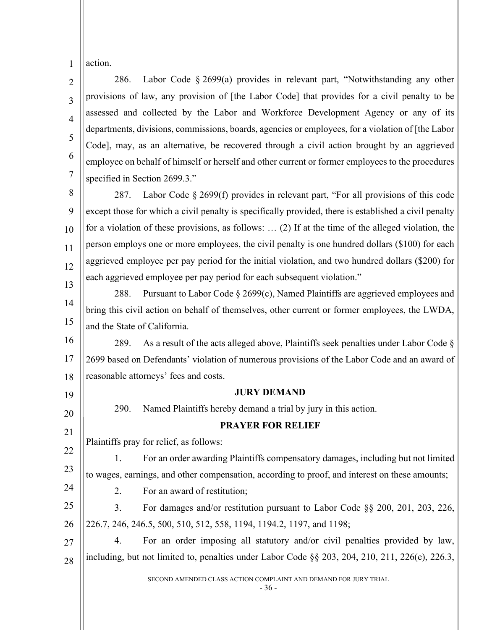1 action.

 $\mathfrak{D}$ 3 4 5 6 7 286. Labor Code § 2699(a) provides in relevant part, "Notwithstanding any other provisions of law, any provision of [the Labor Code] that provides for a civil penalty to be assessed and collected by the Labor and Workforce Development Agency or any of its departments, divisions, commissions, boards, agencies or employees, for a violation of [the Labor Code], may, as an alternative, be recovered through a civil action brought by an aggrieved employee on behalf of himself or herself and other current or former employees to the procedures specified in Section 2699.3."

8 9 10 11 12 13 287. Labor Code § 2699(f) provides in relevant part, "For all provisions of this code except those for which a civil penalty is specifically provided, there is established a civil penalty for a violation of these provisions, as follows: … (2) If at the time of the alleged violation, the person employs one or more employees, the civil penalty is one hundred dollars (\$100) for each aggrieved employee per pay period for the initial violation, and two hundred dollars (\$200) for each aggrieved employee per pay period for each subsequent violation."

14 15 288. Pursuant to Labor Code  $\S$  2699(c), Named Plaintiffs are aggrieved employees and bring this civil action on behalf of themselves, other current or former employees, the LWDA, and the State of California.

16 17 18 289. As a result of the acts alleged above, Plaintiffs seek penalties under Labor Code § 2699 based on Defendants' violation of numerous provisions of the Labor Code and an award of reasonable attorneys' fees and costs.

19 20

21

22

23

24

## **JURY DEMAND**

**PRAYER FOR RELIEF**

290. Named Plaintiffs hereby demand a trial by jury in this action.

Plaintiffs pray for relief, as follows:

1. For an order awarding Plaintiffs compensatory damages, including but not limited to wages, earnings, and other compensation, according to proof, and interest on these amounts;

2. For an award of restitution;

25 26 3. For damages and/or restitution pursuant to Labor Code §§ 200, 201, 203, 226, 226.7, 246, 246.5, 500, 510, 512, 558, 1194, 1194.2, 1197, and 1198;

27 28 4. For an order imposing all statutory and/or civil penalties provided by law, including, but not limited to, penalties under Labor Code  $\S$  203, 204, 210, 211, 226(e), 226.3,

SECOND AMENDED CLASS ACTION COMPLAINT AND DEMAND FOR JURY TRIAL

- 36 -